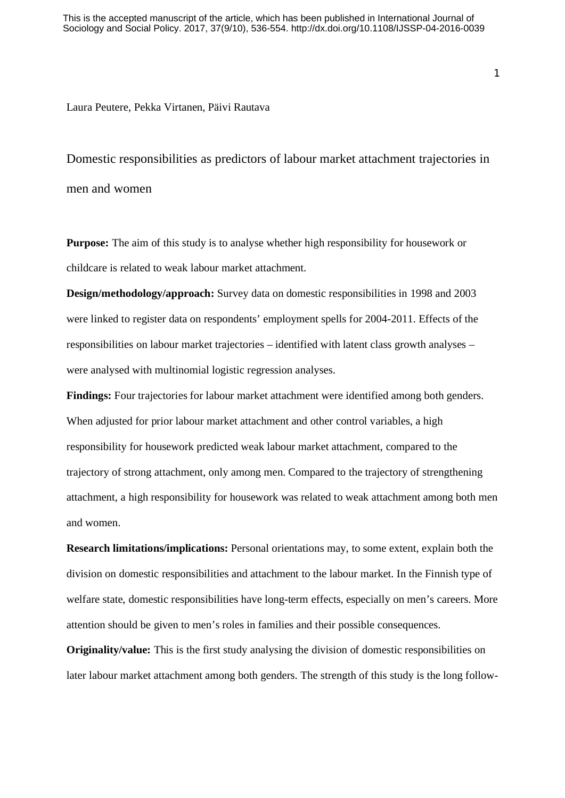Laura Peutere, Pekka Virtanen, Päivi Rautava

Domestic responsibilities as predictors of labour market attachment trajectories in men and women

**Purpose:** The aim of this study is to analyse whether high responsibility for housework or childcare is related to weak labour market attachment.

**Design/methodology/approach:** Survey data on domestic responsibilities in 1998 and 2003 were linked to register data on respondents' employment spells for 2004-2011. Effects of the responsibilities on labour market trajectories – identified with latent class growth analyses – were analysed with multinomial logistic regression analyses.

**Findings:** Four trajectories for labour market attachment were identified among both genders. When adjusted for prior labour market attachment and other control variables, a high responsibility for housework predicted weak labour market attachment, compared to the trajectory of strong attachment, only among men. Compared to the trajectory of strengthening attachment, a high responsibility for housework was related to weak attachment among both men and women.

**Research limitations/implications:** Personal orientations may, to some extent, explain both the division on domestic responsibilities and attachment to the labour market. In the Finnish type of welfare state, domestic responsibilities have long-term effects, especially on men's careers. More attention should be given to men's roles in families and their possible consequences.

**Originality/value:** This is the first study analysing the division of domestic responsibilities on later labour market attachment among both genders. The strength of this study is the long follow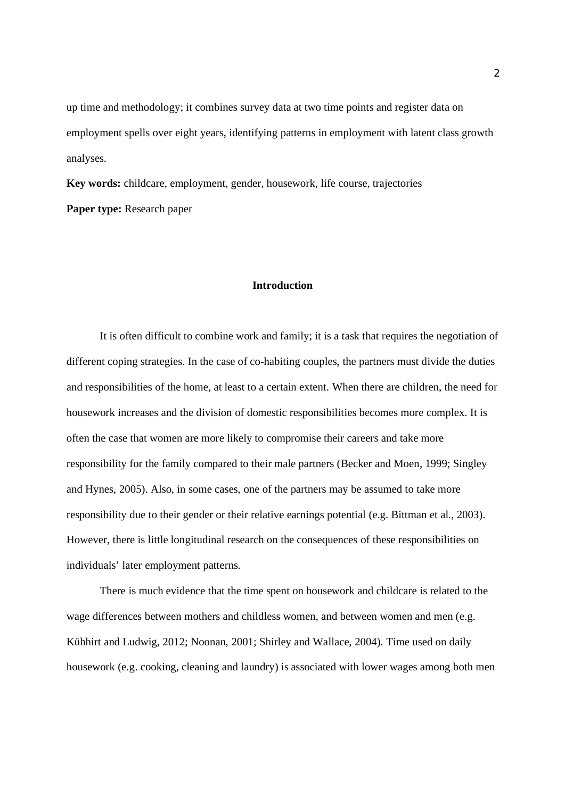up time and methodology; it combines survey data at two time points and register data on employment spells over eight years, identifying patterns in employment with latent class growth analyses.

**Key words:** childcare, employment, gender, housework, life course, trajectories **Paper type:** Research paper

## **Introduction**

It is often difficult to combine work and family; it is a task that requires the negotiation of different coping strategies. In the case of co-habiting couples, the partners must divide the duties and responsibilities of the home, at least to a certain extent. When there are children, the need for housework increases and the division of domestic responsibilities becomes more complex. It is often the case that women are more likely to compromise their careers and take more responsibility for the family compared to their male partners (Becker and Moen, 1999; Singley and Hynes, 2005). Also, in some cases, one of the partners may be assumed to take more responsibility due to their gender or their relative earnings potential (e.g. Bittman et al., 2003). However, there is little longitudinal research on the consequences of these responsibilities on individuals' later employment patterns.

There is much evidence that the time spent on housework and childcare is related to the wage differences between mothers and childless women, and between women and men (e.g. Kühhirt and Ludwig, 2012; Noonan, 2001; Shirley and Wallace, 2004). Time used on daily housework (e.g. cooking, cleaning and laundry) is associated with lower wages among both men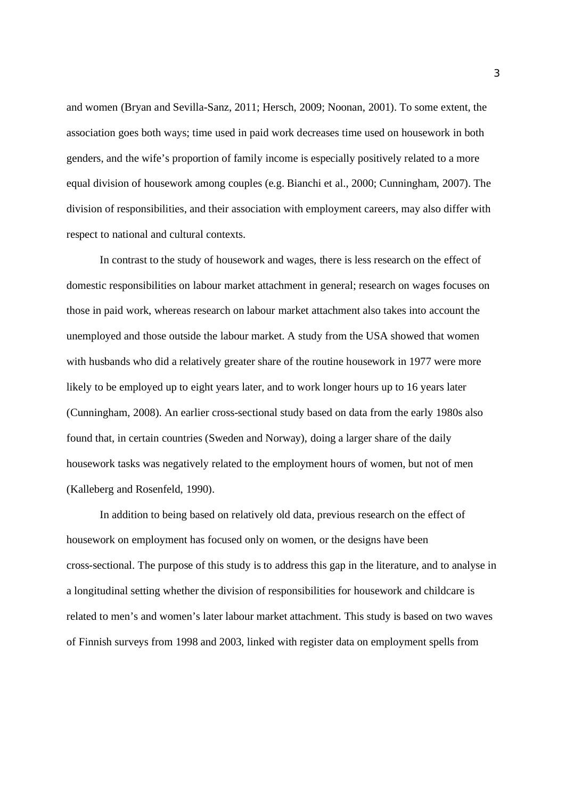and women (Bryan and Sevilla-Sanz, 2011; Hersch, 2009; Noonan, 2001). To some extent, the association goes both ways; time used in paid work decreases time used on housework in both genders, and the wife's proportion of family income is especially positively related to a more equal division of housework among couples (e.g. Bianchi et al., 2000; Cunningham, 2007). The division of responsibilities, and their association with employment careers, may also differ with respect to national and cultural contexts.

In contrast to the study of housework and wages, there is less research on the effect of domestic responsibilities on labour market attachment in general; research on wages focuses on those in paid work, whereas research on labour market attachment also takes into account the unemployed and those outside the labour market. A study from the USA showed that women with husbands who did a relatively greater share of the routine housework in 1977 were more likely to be employed up to eight years later, and to work longer hours up to 16 years later (Cunningham, 2008). An earlier cross-sectional study based on data from the early 1980s also found that, in certain countries (Sweden and Norway), doing a larger share of the daily housework tasks was negatively related to the employment hours of women, but not of men (Kalleberg and Rosenfeld, 1990).

In addition to being based on relatively old data, previous research on the effect of housework on employment has focused only on women, or the designs have been cross-sectional. The purpose of this study is to address this gap in the literature, and to analyse in a longitudinal setting whether the division of responsibilities for housework and childcare is related to men's and women's later labour market attachment. This study is based on two waves of Finnish surveys from 1998 and 2003, linked with register data on employment spells from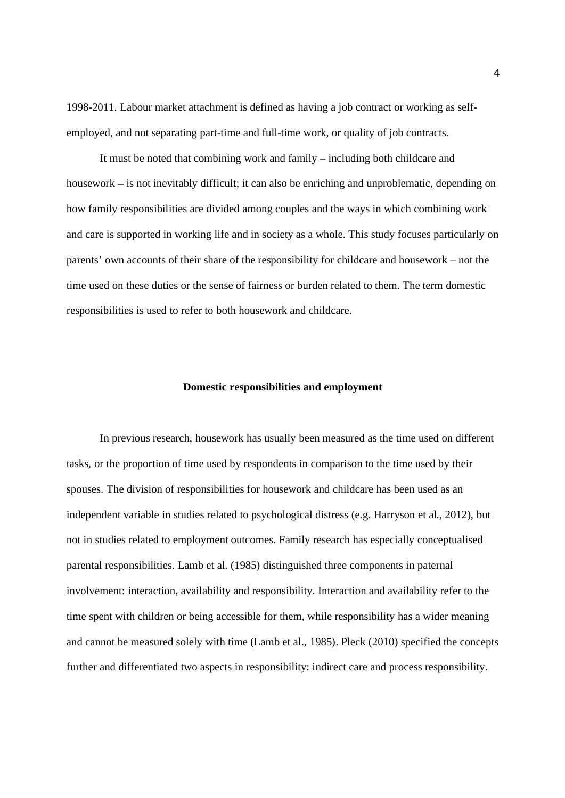1998-2011. Labour market attachment is defined as having a job contract or working as selfemployed, and not separating part-time and full-time work, or quality of job contracts.

It must be noted that combining work and family – including both childcare and housework – is not inevitably difficult; it can also be enriching and unproblematic, depending on how family responsibilities are divided among couples and the ways in which combining work and care is supported in working life and in society as a whole. This study focuses particularly on parents' own accounts of their share of the responsibility for childcare and housework – not the time used on these duties or the sense of fairness or burden related to them. The term domestic responsibilities is used to refer to both housework and childcare.

#### **Domestic responsibilities and employment**

In previous research, housework has usually been measured as the time used on different tasks, or the proportion of time used by respondents in comparison to the time used by their spouses. The division of responsibilities for housework and childcare has been used as an independent variable in studies related to psychological distress (e.g. Harryson et al., 2012), but not in studies related to employment outcomes. Family research has especially conceptualised parental responsibilities. Lamb et al. (1985) distinguished three components in paternal involvement: interaction, availability and responsibility. Interaction and availability refer to the time spent with children or being accessible for them, while responsibility has a wider meaning and cannot be measured solely with time (Lamb et al., 1985). Pleck (2010) specified the concepts further and differentiated two aspects in responsibility: indirect care and process responsibility.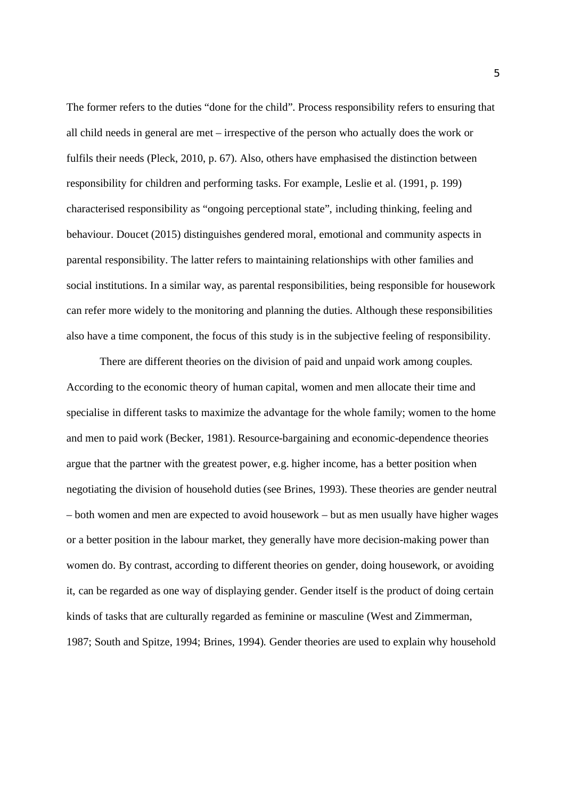The former refers to the duties "done for the child". Process responsibility refers to ensuring that all child needs in general are met – irrespective of the person who actually does the work or fulfils their needs (Pleck, 2010, p. 67). Also, others have emphasised the distinction between responsibility for children and performing tasks. For example, Leslie et al. (1991, p. 199) characterised responsibility as "ongoing perceptional state", including thinking, feeling and behaviour. Doucet (2015) distinguishes gendered moral, emotional and community aspects in parental responsibility. The latter refers to maintaining relationships with other families and social institutions. In a similar way, as parental responsibilities, being responsible for housework can refer more widely to the monitoring and planning the duties. Although these responsibilities also have a time component, the focus of this study is in the subjective feeling of responsibility.

There are different theories on the division of paid and unpaid work among couples. According to the economic theory of human capital, women and men allocate their time and specialise in different tasks to maximize the advantage for the whole family; women to the home and men to paid work (Becker, 1981). Resource-bargaining and economic-dependence theories argue that the partner with the greatest power, e.g. higher income, has a better position when negotiating the division of household duties (see Brines, 1993). These theories are gender neutral – both women and men are expected to avoid housework – but as men usually have higher wages or a better position in the labour market, they generally have more decision-making power than women do. By contrast, according to different theories on gender, doing housework, or avoiding it, can be regarded as one way of displaying gender. Gender itself is the product of doing certain kinds of tasks that are culturally regarded as feminine or masculine (West and Zimmerman, 1987; South and Spitze, 1994; Brines, 1994). Gender theories are used to explain why household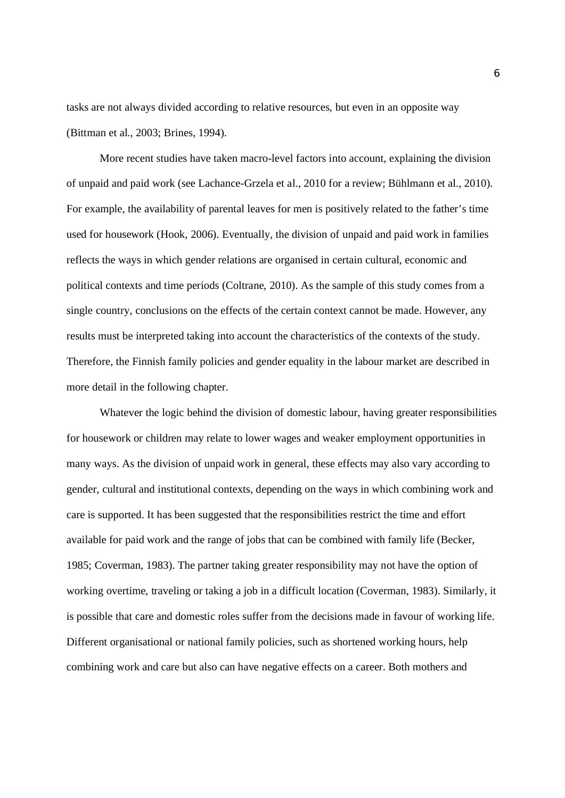tasks are not always divided according to relative resources, but even in an opposite way (Bittman et al., 2003; Brines, 1994).

More recent studies have taken macro-level factors into account, explaining the division of unpaid and paid work (see Lachance-Grzela et al., 2010 for a review; Bühlmann et al., 2010). For example, the availability of parental leaves for men is positively related to the father's time used for housework (Hook, 2006). Eventually, the division of unpaid and paid work in families reflects the ways in which gender relations are organised in certain cultural, economic and political contexts and time periods (Coltrane, 2010). As the sample of this study comes from a single country, conclusions on the effects of the certain context cannot be made. However, any results must be interpreted taking into account the characteristics of the contexts of the study. Therefore, the Finnish family policies and gender equality in the labour market are described in more detail in the following chapter.

Whatever the logic behind the division of domestic labour, having greater responsibilities for housework or children may relate to lower wages and weaker employment opportunities in many ways. As the division of unpaid work in general, these effects may also vary according to gender, cultural and institutional contexts, depending on the ways in which combining work and care is supported. It has been suggested that the responsibilities restrict the time and effort available for paid work and the range of jobs that can be combined with family life (Becker, 1985; Coverman, 1983). The partner taking greater responsibility may not have the option of working overtime, traveling or taking a job in a difficult location (Coverman, 1983). Similarly, it is possible that care and domestic roles suffer from the decisions made in favour of working life. Different organisational or national family policies, such as shortened working hours, help combining work and care but also can have negative effects on a career. Both mothers and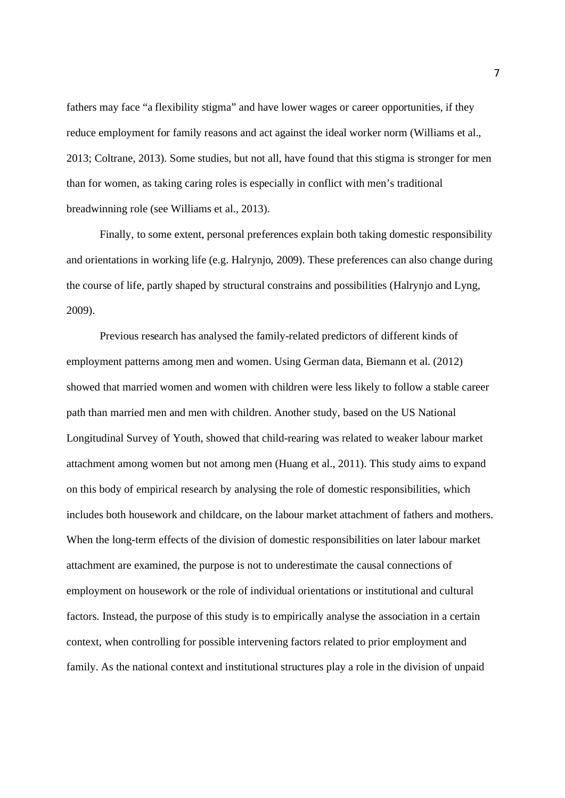fathers may face "a flexibility stigma" and have lower wages or career opportunities, if they reduce employment for family reasons and act against the ideal worker norm (Williams et al., 2013; Coltrane, 2013). Some studies, but not all, have found that this stigma is stronger for men than for women, as taking caring roles is especially in conflict with men's traditional breadwinning role (see Williams et al., 2013).

Finally, to some extent, personal preferences explain both taking domestic responsibility and orientations in working life (e.g. Halrynjo, 2009). These preferences can also change during the course of life, partly shaped by structural constrains and possibilities (Halrynjo and Lyng, 2009).

Previous research has analysed the family-related predictors of different kinds of employment patterns among men and women. Using German data, Biemann et al. (2012) showed that married women and women with children were less likely to follow a stable career path than married men and men with children. Another study, based on the US National Longitudinal Survey of Youth, showed that child-rearing was related to weaker labour market attachment among women but not among men (Huang et al., 2011). This study aims to expand on this body of empirical research by analysing the role of domestic responsibilities, which includes both housework and childcare, on the labour market attachment of fathers and mothers. When the long-term effects of the division of domestic responsibilities on later labour market attachment are examined, the purpose is not to underestimate the causal connections of employment on housework or the role of individual orientations or institutional and cultural factors. Instead, the purpose of this study is to empirically analyse the association in a certain context, when controlling for possible intervening factors related to prior employment and family. As the national context and institutional structures play a role in the division of unpaid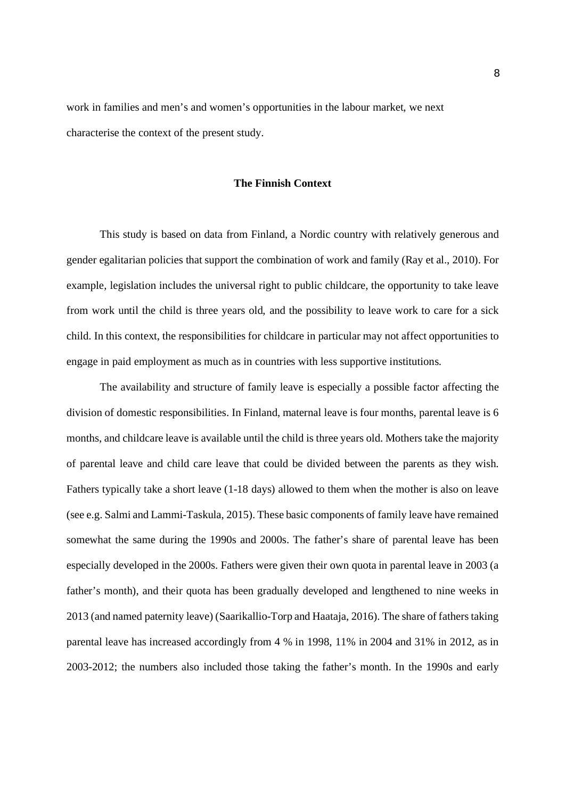work in families and men's and women's opportunities in the labour market, we next characterise the context of the present study.

## **The Finnish Context**

This study is based on data from Finland, a Nordic country with relatively generous and gender egalitarian policies that support the combination of work and family (Ray et al., 2010). For example, legislation includes the universal right to public childcare, the opportunity to take leave from work until the child is three years old, and the possibility to leave work to care for a sick child. In this context, the responsibilities for childcare in particular may not affect opportunities to engage in paid employment as much as in countries with less supportive institutions.

The availability and structure of family leave is especially a possible factor affecting the division of domestic responsibilities. In Finland, maternal leave is four months, parental leave is 6 months, and childcare leave is available until the child is three years old. Mothers take the majority of parental leave and child care leave that could be divided between the parents as they wish. Fathers typically take a short leave (1-18 days) allowed to them when the mother is also on leave (see e.g. Salmi and Lammi-Taskula, 2015). These basic components of family leave have remained somewhat the same during the 1990s and 2000s. The father's share of parental leave has been especially developed in the 2000s. Fathers were given their own quota in parental leave in 2003 (a father's month), and their quota has been gradually developed and lengthened to nine weeks in 2013 (and named paternity leave) (Saarikallio-Torp and Haataja, 2016). The share of fathers taking parental leave has increased accordingly from 4 % in 1998, 11% in 2004 and 31% in 2012, as in 2003-2012; the numbers also included those taking the father's month. In the 1990s and early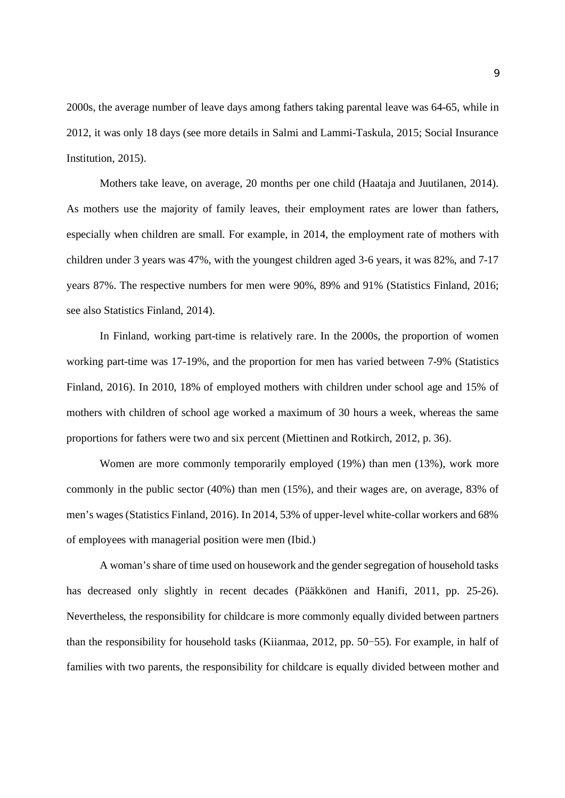2000s, the average number of leave days among fathers taking parental leave was 64-65, while in 2012, it was only 18 days (see more details in Salmi and Lammi-Taskula, 2015; Social Insurance Institution, 2015).

Mothers take leave, on average, 20 months per one child (Haataja and Juutilanen, 2014). As mothers use the majority of family leaves, their employment rates are lower than fathers, especially when children are small. For example, in 2014, the employment rate of mothers with children under 3 years was 47%, with the youngest children aged 3-6 years, it was 82%, and 7-17 years 87%. The respective numbers for men were 90%, 89% and 91% (Statistics Finland, 2016; see also Statistics Finland, 2014).

In Finland, working part-time is relatively rare. In the 2000s, the proportion of women working part-time was 17-19%, and the proportion for men has varied between 7-9% (Statistics Finland, 2016). In 2010, 18% of employed mothers with children under school age and 15% of mothers with children of school age worked a maximum of 30 hours a week, whereas the same proportions for fathers were two and six percent (Miettinen and Rotkirch, 2012, p. 36).

Women are more commonly temporarily employed (19%) than men (13%), work more commonly in the public sector (40%) than men (15%), and their wages are, on average, 83% of men's wages (Statistics Finland, 2016). In 2014, 53% of upper-level white-collar workers and 68% of employees with managerial position were men (Ibid.)

A woman's share of time used on housework and the gender segregation of household tasks has decreased only slightly in recent decades (Pääkkönen and Hanifi, 2011, pp. 25-26). Nevertheless, the responsibility for childcare is more commonly equally divided between partners than the responsibility for household tasks (Kiianmaa, 2012, pp. 50−55). For example, in half of families with two parents, the responsibility for childcare is equally divided between mother and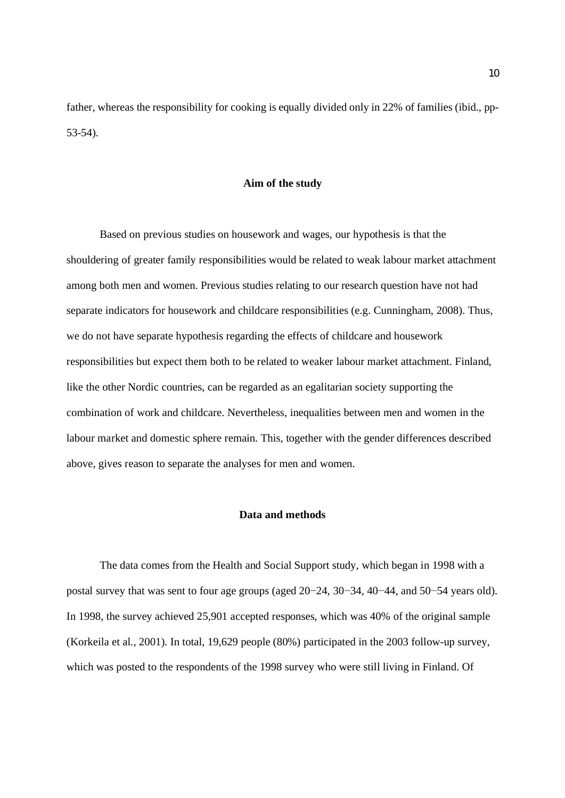father, whereas the responsibility for cooking is equally divided only in 22% of families (ibid., pp-53-54).

## **Aim of the study**

Based on previous studies on housework and wages, our hypothesis is that the shouldering of greater family responsibilities would be related to weak labour market attachment among both men and women. Previous studies relating to our research question have not had separate indicators for housework and childcare responsibilities (e.g. Cunningham, 2008). Thus, we do not have separate hypothesis regarding the effects of childcare and housework responsibilities but expect them both to be related to weaker labour market attachment. Finland, like the other Nordic countries, can be regarded as an egalitarian society supporting the combination of work and childcare. Nevertheless, inequalities between men and women in the labour market and domestic sphere remain. This, together with the gender differences described above, gives reason to separate the analyses for men and women.

# **Data and methods**

The data comes from the Health and Social Support study, which began in 1998 with a postal survey that was sent to four age groups (aged 20−24, 30−34, 40−44, and 50−54 years old). In 1998, the survey achieved 25,901 accepted responses, which was 40% of the original sample (Korkeila et al., 2001). In total, 19,629 people (80%) participated in the 2003 follow-up survey, which was posted to the respondents of the 1998 survey who were still living in Finland. Of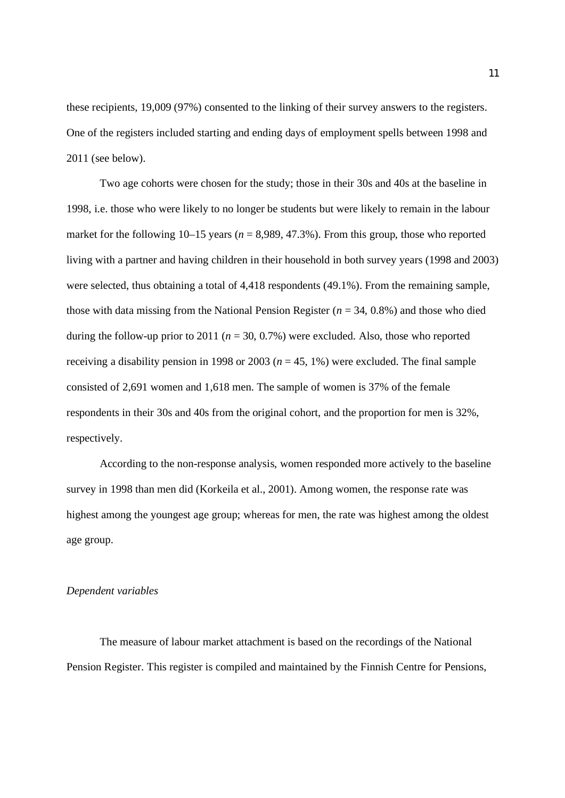these recipients, 19,009 (97%) consented to the linking of their survey answers to the registers. One of the registers included starting and ending days of employment spells between 1998 and 2011 (see below).

Two age cohorts were chosen for the study; those in their 30s and 40s at the baseline in 1998, i.e. those who were likely to no longer be students but were likely to remain in the labour market for the following  $10-15$  years ( $n = 8,989, 47.3%$ ). From this group, those who reported living with a partner and having children in their household in both survey years (1998 and 2003) were selected, thus obtaining a total of 4,418 respondents (49.1%). From the remaining sample, those with data missing from the National Pension Register (*n* = 34, 0.8%) and those who died during the follow-up prior to 2011 ( $n = 30, 0.7\%$ ) were excluded. Also, those who reported receiving a disability pension in 1998 or 2003 ( $n = 45$ , 1%) were excluded. The final sample consisted of 2,691 women and 1,618 men. The sample of women is 37% of the female respondents in their 30s and 40s from the original cohort, and the proportion for men is 32%, respectively.

According to the non-response analysis, women responded more actively to the baseline survey in 1998 than men did (Korkeila et al., 2001). Among women, the response rate was highest among the youngest age group; whereas for men, the rate was highest among the oldest age group.

## *Dependent variables*

The measure of labour market attachment is based on the recordings of the National Pension Register. This register is compiled and maintained by the Finnish Centre for Pensions,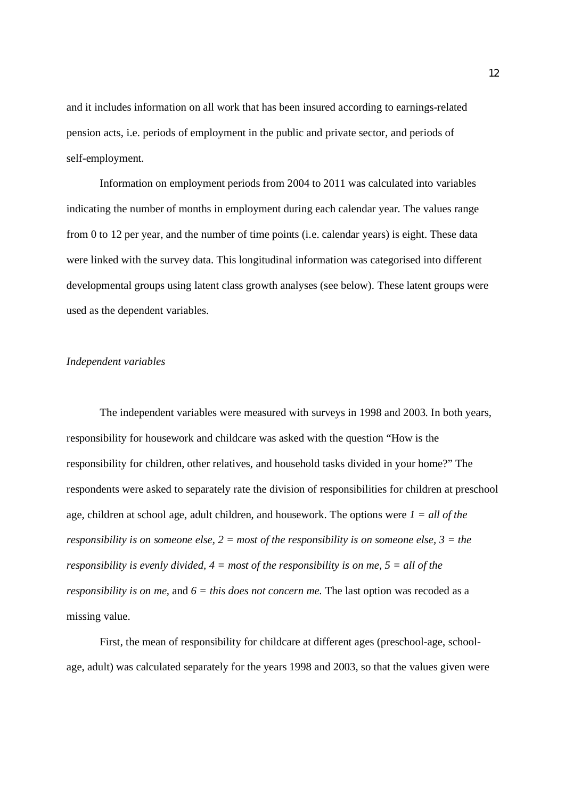and it includes information on all work that has been insured according to earnings-related pension acts, i.e. periods of employment in the public and private sector, and periods of self-employment.

Information on employment periods from 2004 to 2011 was calculated into variables indicating the number of months in employment during each calendar year. The values range from 0 to 12 per year, and the number of time points (i.e. calendar years) is eight. These data were linked with the survey data. This longitudinal information was categorised into different developmental groups using latent class growth analyses (see below). These latent groups were used as the dependent variables.

## *Independent variables*

The independent variables were measured with surveys in 1998 and 2003. In both years, responsibility for housework and childcare was asked with the question "How is the responsibility for children, other relatives, and household tasks divided in your home?" The respondents were asked to separately rate the division of responsibilities for children at preschool age, children at school age, adult children, and housework. The options were *1 = all of the responsibility is on someone else, 2 = most of the responsibility is on someone else, 3 = the responsibility is evenly divided, 4 = most of the responsibility is on me, 5 = all of the responsibility is on me,* and *6 = this does not concern me.* The last option was recoded as a missing value.

First, the mean of responsibility for childcare at different ages (preschool-age, schoolage, adult) was calculated separately for the years 1998 and 2003, so that the values given were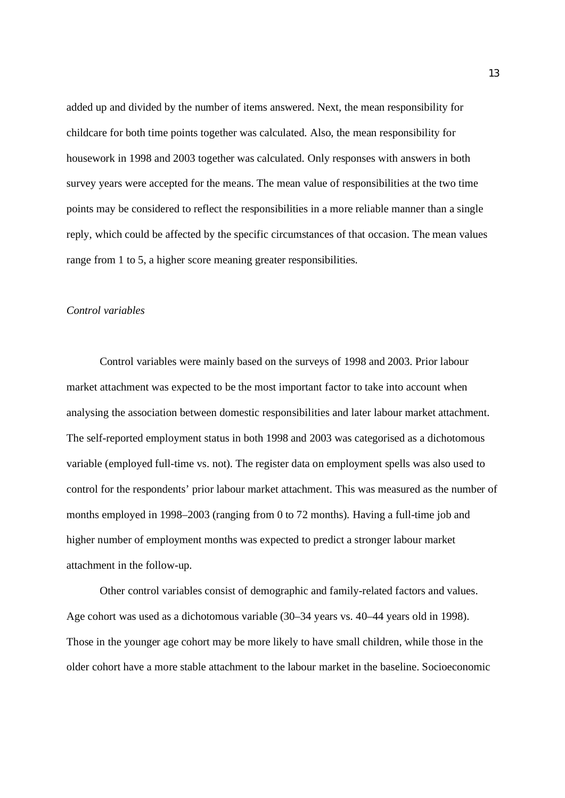added up and divided by the number of items answered. Next, the mean responsibility for childcare for both time points together was calculated. Also, the mean responsibility for housework in 1998 and 2003 together was calculated. Only responses with answers in both survey years were accepted for the means. The mean value of responsibilities at the two time points may be considered to reflect the responsibilities in a more reliable manner than a single reply, which could be affected by the specific circumstances of that occasion. The mean values range from 1 to 5, a higher score meaning greater responsibilities.

#### *Control variables*

Control variables were mainly based on the surveys of 1998 and 2003. Prior labour market attachment was expected to be the most important factor to take into account when analysing the association between domestic responsibilities and later labour market attachment. The self-reported employment status in both 1998 and 2003 was categorised as a dichotomous variable (employed full-time vs. not). The register data on employment spells was also used to control for the respondents' prior labour market attachment. This was measured as the number of months employed in 1998–2003 (ranging from 0 to 72 months). Having a full-time job and higher number of employment months was expected to predict a stronger labour market attachment in the follow-up.

Other control variables consist of demographic and family-related factors and values. Age cohort was used as a dichotomous variable (30–34 years vs. 40–44 years old in 1998). Those in the younger age cohort may be more likely to have small children, while those in the older cohort have a more stable attachment to the labour market in the baseline. Socioeconomic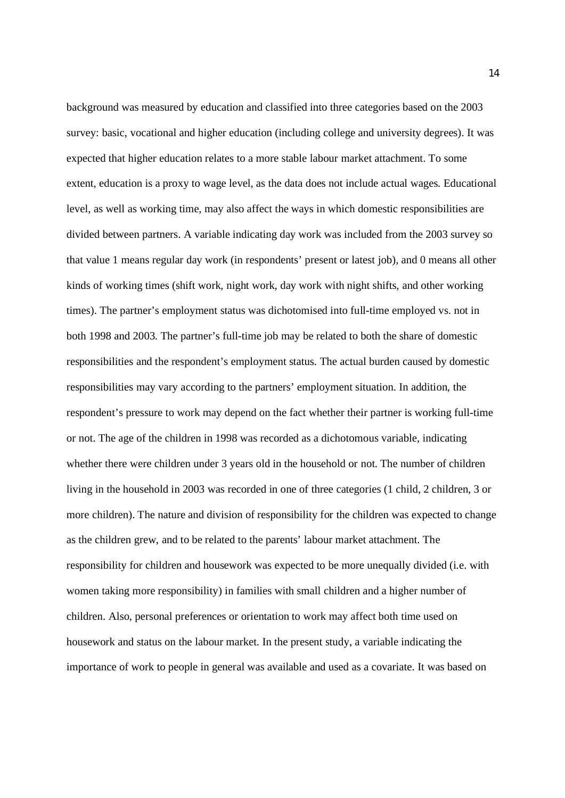background was measured by education and classified into three categories based on the 2003 survey: basic, vocational and higher education (including college and university degrees). It was expected that higher education relates to a more stable labour market attachment. To some extent, education is a proxy to wage level, as the data does not include actual wages. Educational level, as well as working time, may also affect the ways in which domestic responsibilities are divided between partners. A variable indicating day work was included from the 2003 survey so that value 1 means regular day work (in respondents' present or latest job), and 0 means all other kinds of working times (shift work, night work, day work with night shifts, and other working times). The partner's employment status was dichotomised into full-time employed vs. not in both 1998 and 2003. The partner's full-time job may be related to both the share of domestic responsibilities and the respondent's employment status. The actual burden caused by domestic responsibilities may vary according to the partners' employment situation. In addition, the respondent's pressure to work may depend on the fact whether their partner is working full-time or not. The age of the children in 1998 was recorded as a dichotomous variable, indicating whether there were children under 3 years old in the household or not. The number of children living in the household in 2003 was recorded in one of three categories (1 child, 2 children, 3 or more children). The nature and division of responsibility for the children was expected to change as the children grew, and to be related to the parents' labour market attachment. The responsibility for children and housework was expected to be more unequally divided (i.e. with women taking more responsibility) in families with small children and a higher number of children. Also, personal preferences or orientation to work may affect both time used on housework and status on the labour market. In the present study, a variable indicating the importance of work to people in general was available and used as a covariate. It was based on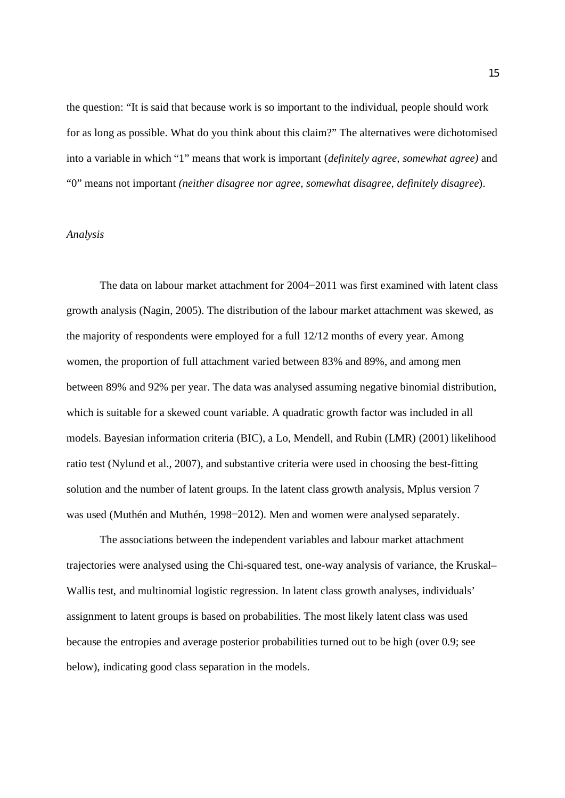the question: "It is said that because work is so important to the individual, people should work for as long as possible. What do you think about this claim?" The alternatives were dichotomised into a variable in which "1" means that work is important (*definitely agree, somewhat agree)* and "0" means not important *(neither disagree nor agree, somewhat disagree, definitely disagree*).

## *Analysis*

The data on labour market attachment for 2004−2011 was first examined with latent class growth analysis (Nagin, 2005). The distribution of the labour market attachment was skewed, as the majority of respondents were employed for a full 12/12 months of every year. Among women, the proportion of full attachment varied between 83% and 89%, and among men between 89% and 92% per year. The data was analysed assuming negative binomial distribution, which is suitable for a skewed count variable. A quadratic growth factor was included in all models. Bayesian information criteria (BIC), a Lo, Mendell, and Rubin (LMR) (2001) likelihood ratio test (Nylund et al., 2007), and substantive criteria were used in choosing the best-fitting solution and the number of latent groups. In the latent class growth analysis, Mplus version 7 was used (Muthén and Muthén, 1998−2012). Men and women were analysed separately.

The associations between the independent variables and labour market attachment trajectories were analysed using the Chi-squared test, one-way analysis of variance, the Kruskal– Wallis test, and multinomial logistic regression. In latent class growth analyses, individuals' assignment to latent groups is based on probabilities. The most likely latent class was used because the entropies and average posterior probabilities turned out to be high (over 0.9; see below), indicating good class separation in the models.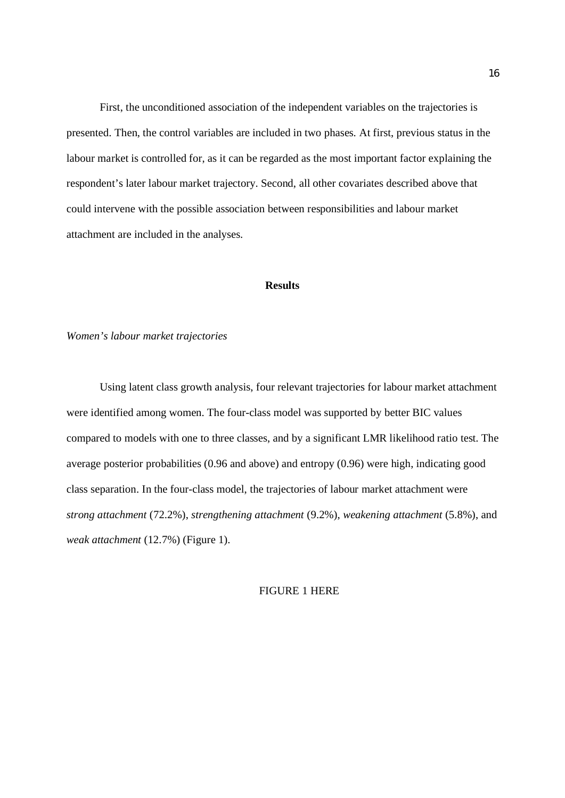First, the unconditioned association of the independent variables on the trajectories is presented. Then, the control variables are included in two phases. At first, previous status in the labour market is controlled for, as it can be regarded as the most important factor explaining the respondent's later labour market trajectory. Second, all other covariates described above that could intervene with the possible association between responsibilities and labour market attachment are included in the analyses.

## **Results**

### *Women's labour market trajectories*

Using latent class growth analysis, four relevant trajectories for labour market attachment were identified among women. The four-class model was supported by better BIC values compared to models with one to three classes, and by a significant LMR likelihood ratio test. The average posterior probabilities (0.96 and above) and entropy (0.96) were high, indicating good class separation. In the four-class model, the trajectories of labour market attachment were *strong attachment* (72.2%), *strengthening attachment* (9.2%), *weakening attachment* (5.8%), and *weak attachment* (12.7%) (Figure 1).

## FIGURE 1 HERE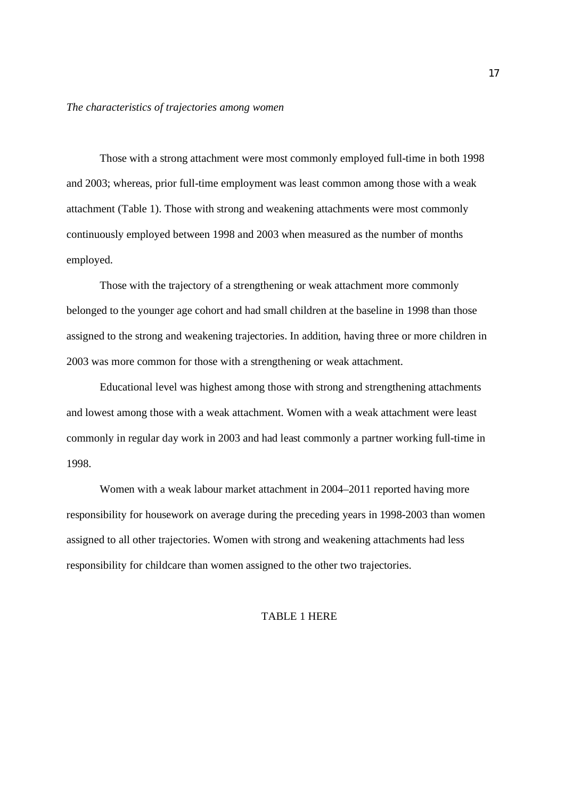### *The characteristics of trajectories among women*

Those with a strong attachment were most commonly employed full-time in both 1998 and 2003; whereas, prior full-time employment was least common among those with a weak attachment (Table 1). Those with strong and weakening attachments were most commonly continuously employed between 1998 and 2003 when measured as the number of months employed.

Those with the trajectory of a strengthening or weak attachment more commonly belonged to the younger age cohort and had small children at the baseline in 1998 than those assigned to the strong and weakening trajectories. In addition, having three or more children in 2003 was more common for those with a strengthening or weak attachment.

Educational level was highest among those with strong and strengthening attachments and lowest among those with a weak attachment. Women with a weak attachment were least commonly in regular day work in 2003 and had least commonly a partner working full-time in 1998.

Women with a weak labour market attachment in 2004–2011 reported having more responsibility for housework on average during the preceding years in 1998-2003 than women assigned to all other trajectories. Women with strong and weakening attachments had less responsibility for childcare than women assigned to the other two trajectories.

#### TABLE 1 HERE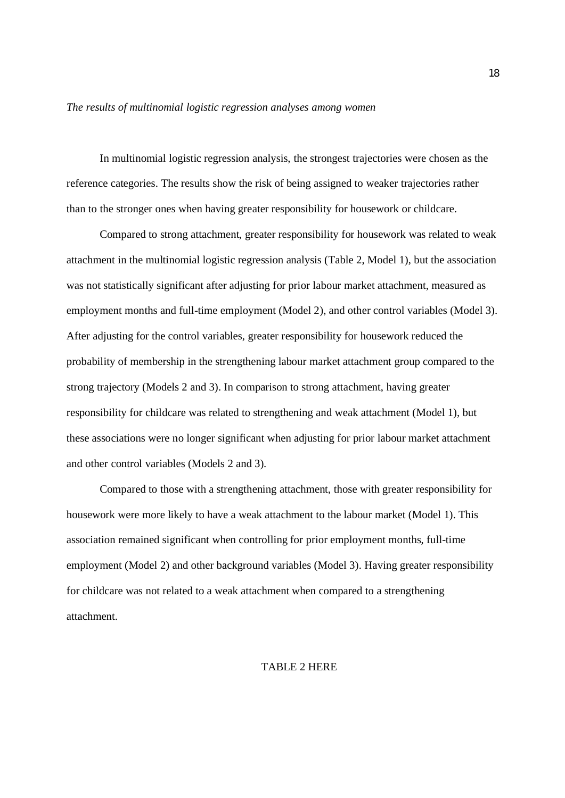## *The results of multinomial logistic regression analyses among women*

In multinomial logistic regression analysis, the strongest trajectories were chosen as the reference categories. The results show the risk of being assigned to weaker trajectories rather than to the stronger ones when having greater responsibility for housework or childcare.

Compared to strong attachment, greater responsibility for housework was related to weak attachment in the multinomial logistic regression analysis (Table 2, Model 1), but the association was not statistically significant after adjusting for prior labour market attachment, measured as employment months and full-time employment (Model 2), and other control variables (Model 3). After adjusting for the control variables, greater responsibility for housework reduced the probability of membership in the strengthening labour market attachment group compared to the strong trajectory (Models 2 and 3). In comparison to strong attachment, having greater responsibility for childcare was related to strengthening and weak attachment (Model 1), but these associations were no longer significant when adjusting for prior labour market attachment and other control variables (Models 2 and 3).

Compared to those with a strengthening attachment, those with greater responsibility for housework were more likely to have a weak attachment to the labour market (Model 1). This association remained significant when controlling for prior employment months, full-time employment (Model 2) and other background variables (Model 3). Having greater responsibility for childcare was not related to a weak attachment when compared to a strengthening attachment.

## TABLE 2 HERE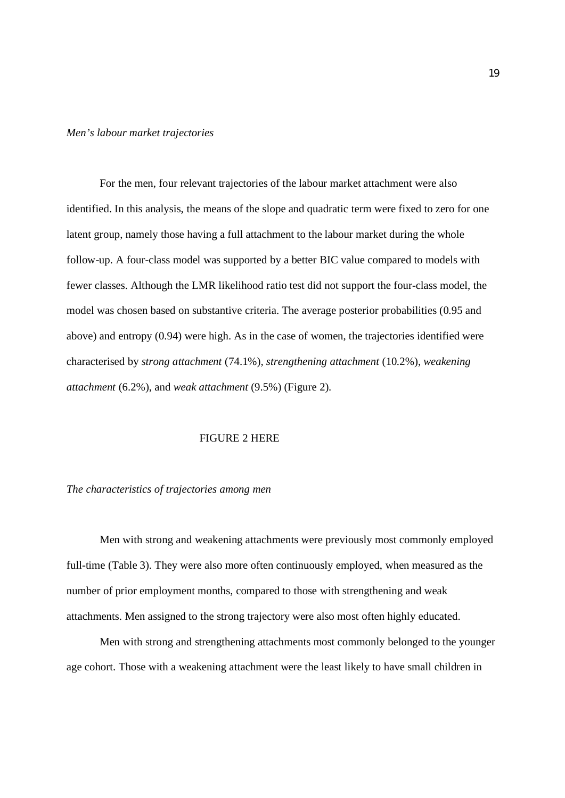#### *Men's labour market trajectories*

For the men, four relevant trajectories of the labour market attachment were also identified. In this analysis, the means of the slope and quadratic term were fixed to zero for one latent group, namely those having a full attachment to the labour market during the whole follow-up. A four-class model was supported by a better BIC value compared to models with fewer classes. Although the LMR likelihood ratio test did not support the four-class model, the model was chosen based on substantive criteria. The average posterior probabilities (0.95 and above) and entropy (0.94) were high. As in the case of women, the trajectories identified were characterised by *strong attachment* (74.1%)*, strengthening attachment* (10.2%), *weakening attachment* (6.2%), and *weak attachment* (9.5%) (Figure 2).

## FIGURE 2 HERE

#### *The characteristics of trajectories among men*

Men with strong and weakening attachments were previously most commonly employed full-time (Table 3). They were also more often continuously employed, when measured as the number of prior employment months, compared to those with strengthening and weak attachments. Men assigned to the strong trajectory were also most often highly educated.

Men with strong and strengthening attachments most commonly belonged to the younger age cohort. Those with a weakening attachment were the least likely to have small children in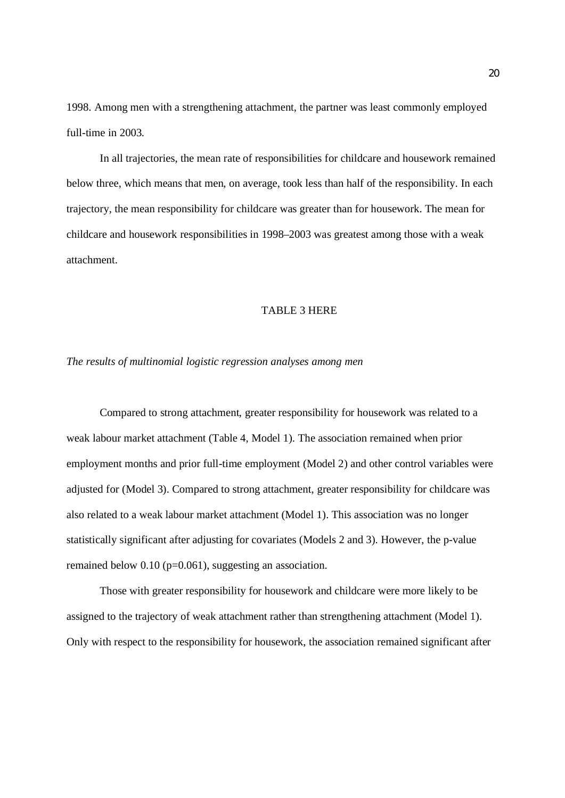1998. Among men with a strengthening attachment, the partner was least commonly employed full-time in 2003.

In all trajectories, the mean rate of responsibilities for childcare and housework remained below three, which means that men, on average, took less than half of the responsibility. In each trajectory, the mean responsibility for childcare was greater than for housework. The mean for childcare and housework responsibilities in 1998–2003 was greatest among those with a weak attachment.

#### TABLE 3 HERE

## *The results of multinomial logistic regression analyses among men*

Compared to strong attachment, greater responsibility for housework was related to a weak labour market attachment (Table 4, Model 1). The association remained when prior employment months and prior full-time employment (Model 2) and other control variables were adjusted for (Model 3). Compared to strong attachment, greater responsibility for childcare was also related to a weak labour market attachment (Model 1). This association was no longer statistically significant after adjusting for covariates (Models 2 and 3). However, the p-value remained below  $0.10$  (p= $0.061$ ), suggesting an association.

Those with greater responsibility for housework and childcare were more likely to be assigned to the trajectory of weak attachment rather than strengthening attachment (Model 1). Only with respect to the responsibility for housework, the association remained significant after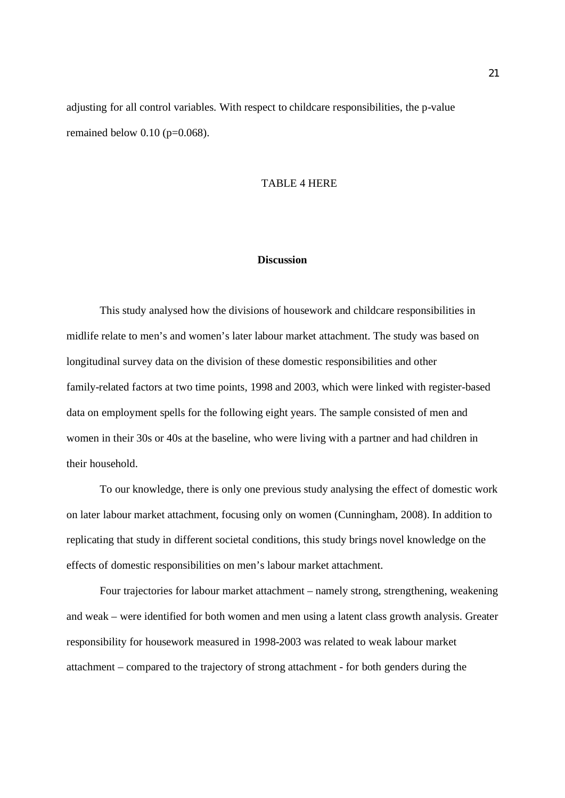adjusting for all control variables. With respect to childcare responsibilities, the p-value remained below  $0.10$  (p= $0.068$ ).

#### TABLE 4 HERE

## **Discussion**

This study analysed how the divisions of housework and childcare responsibilities in midlife relate to men's and women's later labour market attachment. The study was based on longitudinal survey data on the division of these domestic responsibilities and other family-related factors at two time points, 1998 and 2003, which were linked with register-based data on employment spells for the following eight years. The sample consisted of men and women in their 30s or 40s at the baseline, who were living with a partner and had children in their household.

To our knowledge, there is only one previous study analysing the effect of domestic work on later labour market attachment, focusing only on women (Cunningham, 2008). In addition to replicating that study in different societal conditions, this study brings novel knowledge on the effects of domestic responsibilities on men's labour market attachment.

Four trajectories for labour market attachment – namely strong, strengthening, weakening and weak – were identified for both women and men using a latent class growth analysis. Greater responsibility for housework measured in 1998-2003 was related to weak labour market attachment – compared to the trajectory of strong attachment - for both genders during the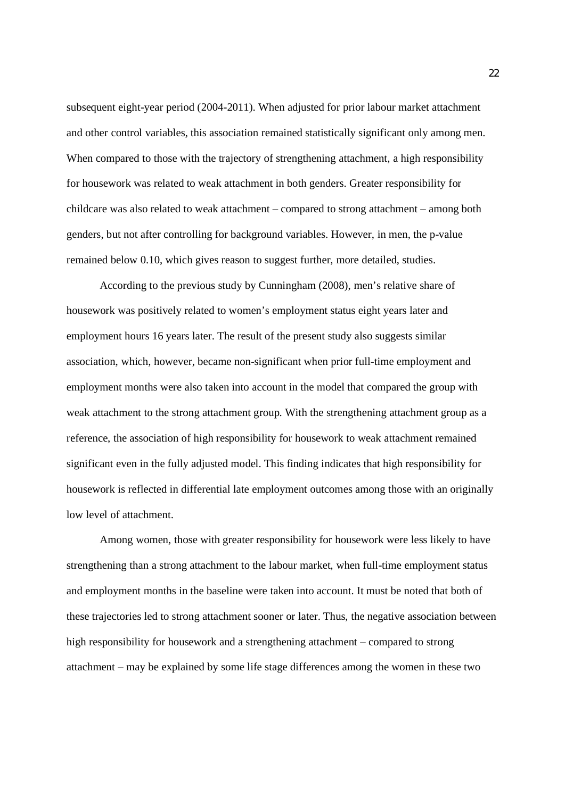subsequent eight-year period (2004-2011). When adjusted for prior labour market attachment and other control variables, this association remained statistically significant only among men. When compared to those with the trajectory of strengthening attachment, a high responsibility for housework was related to weak attachment in both genders. Greater responsibility for childcare was also related to weak attachment – compared to strong attachment – among both genders, but not after controlling for background variables. However, in men, the p-value remained below 0.10, which gives reason to suggest further, more detailed, studies.

According to the previous study by Cunningham (2008), men's relative share of housework was positively related to women's employment status eight years later and employment hours 16 years later. The result of the present study also suggests similar association, which, however, became non-significant when prior full-time employment and employment months were also taken into account in the model that compared the group with weak attachment to the strong attachment group. With the strengthening attachment group as a reference, the association of high responsibility for housework to weak attachment remained significant even in the fully adjusted model. This finding indicates that high responsibility for housework is reflected in differential late employment outcomes among those with an originally low level of attachment.

Among women, those with greater responsibility for housework were less likely to have strengthening than a strong attachment to the labour market, when full-time employment status and employment months in the baseline were taken into account. It must be noted that both of these trajectories led to strong attachment sooner or later. Thus, the negative association between high responsibility for housework and a strengthening attachment – compared to strong attachment – may be explained by some life stage differences among the women in these two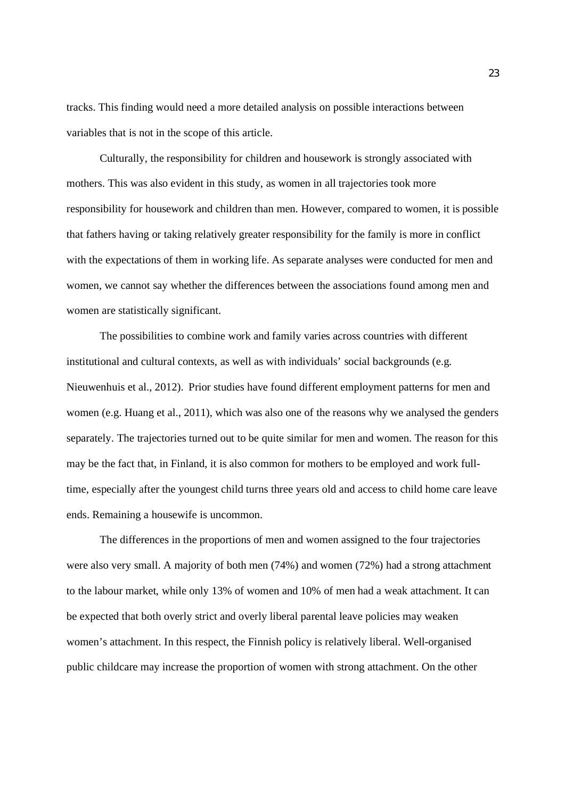tracks. This finding would need a more detailed analysis on possible interactions between variables that is not in the scope of this article.

Culturally, the responsibility for children and housework is strongly associated with mothers. This was also evident in this study, as women in all trajectories took more responsibility for housework and children than men. However, compared to women, it is possible that fathers having or taking relatively greater responsibility for the family is more in conflict with the expectations of them in working life. As separate analyses were conducted for men and women, we cannot say whether the differences between the associations found among men and women are statistically significant.

The possibilities to combine work and family varies across countries with different institutional and cultural contexts, as well as with individuals' social backgrounds (e.g. Nieuwenhuis et al., 2012). Prior studies have found different employment patterns for men and women (e.g. Huang et al., 2011), which was also one of the reasons why we analysed the genders separately. The trajectories turned out to be quite similar for men and women. The reason for this may be the fact that, in Finland, it is also common for mothers to be employed and work fulltime, especially after the youngest child turns three years old and access to child home care leave ends. Remaining a housewife is uncommon.

The differences in the proportions of men and women assigned to the four trajectories were also very small. A majority of both men (74%) and women (72%) had a strong attachment to the labour market, while only 13% of women and 10% of men had a weak attachment. It can be expected that both overly strict and overly liberal parental leave policies may weaken women's attachment. In this respect, the Finnish policy is relatively liberal. Well-organised public childcare may increase the proportion of women with strong attachment. On the other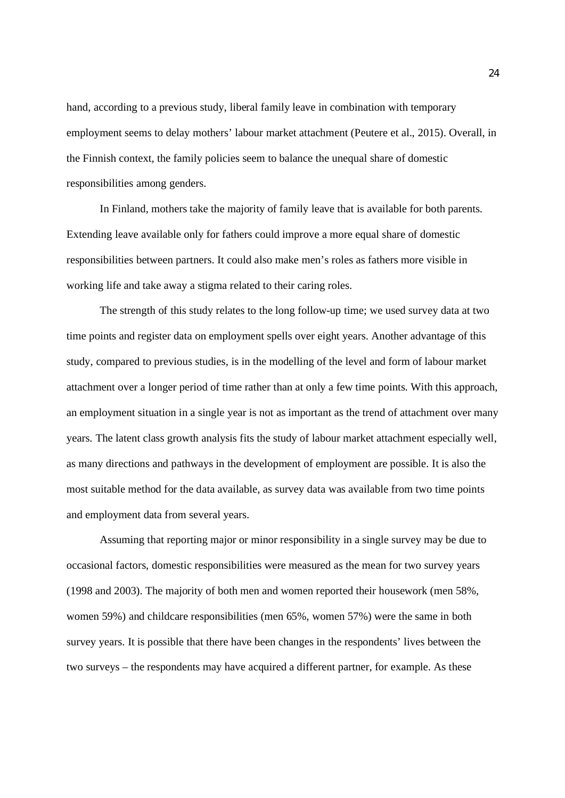hand, according to a previous study, liberal family leave in combination with temporary employment seems to delay mothers' labour market attachment (Peutere et al., 2015). Overall, in the Finnish context, the family policies seem to balance the unequal share of domestic responsibilities among genders.

In Finland, mothers take the majority of family leave that is available for both parents. Extending leave available only for fathers could improve a more equal share of domestic responsibilities between partners. It could also make men's roles as fathers more visible in working life and take away a stigma related to their caring roles.

The strength of this study relates to the long follow-up time; we used survey data at two time points and register data on employment spells over eight years. Another advantage of this study, compared to previous studies, is in the modelling of the level and form of labour market attachment over a longer period of time rather than at only a few time points. With this approach, an employment situation in a single year is not as important as the trend of attachment over many years. The latent class growth analysis fits the study of labour market attachment especially well, as many directions and pathways in the development of employment are possible. It is also the most suitable method for the data available, as survey data was available from two time points and employment data from several years.

Assuming that reporting major or minor responsibility in a single survey may be due to occasional factors, domestic responsibilities were measured as the mean for two survey years (1998 and 2003). The majority of both men and women reported their housework (men 58%, women 59%) and childcare responsibilities (men 65%, women 57%) were the same in both survey years. It is possible that there have been changes in the respondents' lives between the two surveys – the respondents may have acquired a different partner, for example. As these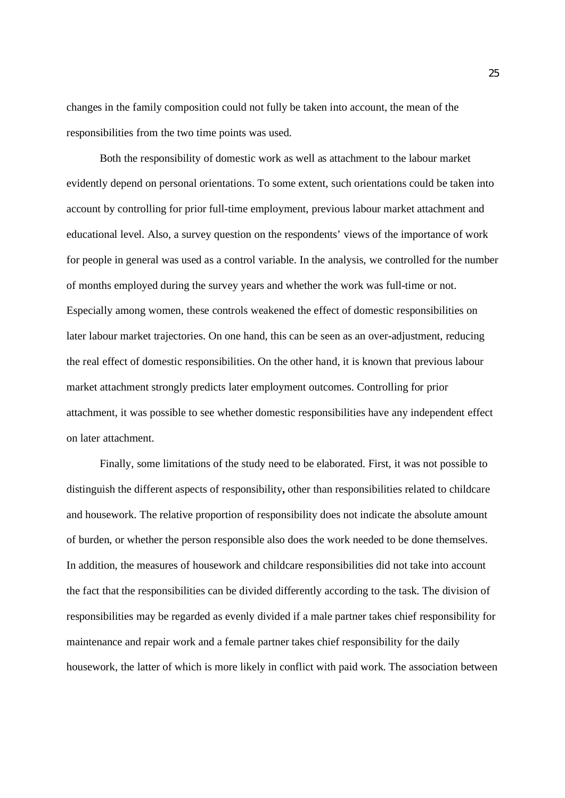changes in the family composition could not fully be taken into account, the mean of the responsibilities from the two time points was used.

Both the responsibility of domestic work as well as attachment to the labour market evidently depend on personal orientations. To some extent, such orientations could be taken into account by controlling for prior full-time employment, previous labour market attachment and educational level. Also, a survey question on the respondents' views of the importance of work for people in general was used as a control variable. In the analysis, we controlled for the number of months employed during the survey years and whether the work was full-time or not. Especially among women, these controls weakened the effect of domestic responsibilities on later labour market trajectories. On one hand, this can be seen as an over-adjustment, reducing the real effect of domestic responsibilities. On the other hand, it is known that previous labour market attachment strongly predicts later employment outcomes. Controlling for prior attachment, it was possible to see whether domestic responsibilities have any independent effect on later attachment.

Finally, some limitations of the study need to be elaborated. First, it was not possible to distinguish the different aspects of responsibility**,** other than responsibilities related to childcare and housework. The relative proportion of responsibility does not indicate the absolute amount of burden, or whether the person responsible also does the work needed to be done themselves. In addition, the measures of housework and childcare responsibilities did not take into account the fact that the responsibilities can be divided differently according to the task. The division of responsibilities may be regarded as evenly divided if a male partner takes chief responsibility for maintenance and repair work and a female partner takes chief responsibility for the daily housework, the latter of which is more likely in conflict with paid work. The association between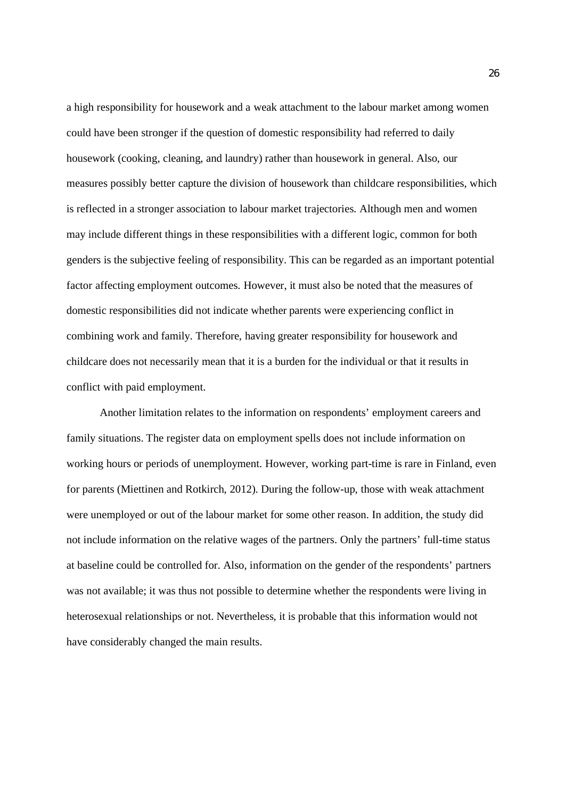a high responsibility for housework and a weak attachment to the labour market among women could have been stronger if the question of domestic responsibility had referred to daily housework (cooking, cleaning, and laundry) rather than housework in general. Also, our measures possibly better capture the division of housework than childcare responsibilities, which is reflected in a stronger association to labour market trajectories. Although men and women may include different things in these responsibilities with a different logic, common for both genders is the subjective feeling of responsibility. This can be regarded as an important potential factor affecting employment outcomes. However, it must also be noted that the measures of domestic responsibilities did not indicate whether parents were experiencing conflict in combining work and family. Therefore, having greater responsibility for housework and childcare does not necessarily mean that it is a burden for the individual or that it results in conflict with paid employment.

Another limitation relates to the information on respondents' employment careers and family situations. The register data on employment spells does not include information on working hours or periods of unemployment. However, working part-time is rare in Finland, even for parents (Miettinen and Rotkirch, 2012). During the follow-up, those with weak attachment were unemployed or out of the labour market for some other reason. In addition, the study did not include information on the relative wages of the partners. Only the partners' full-time status at baseline could be controlled for. Also, information on the gender of the respondents' partners was not available; it was thus not possible to determine whether the respondents were living in heterosexual relationships or not. Nevertheless, it is probable that this information would not have considerably changed the main results.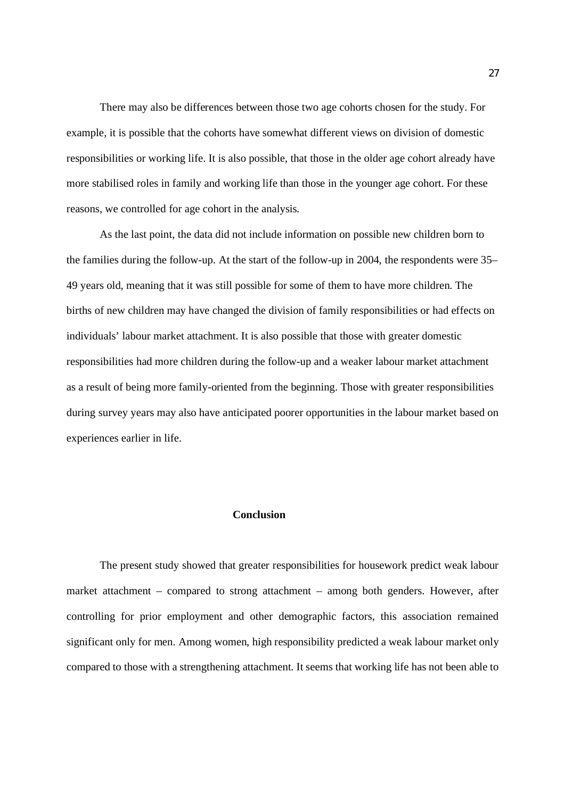There may also be differences between those two age cohorts chosen for the study. For example, it is possible that the cohorts have somewhat different views on division of domestic responsibilities or working life. It is also possible, that those in the older age cohort already have more stabilised roles in family and working life than those in the younger age cohort. For these reasons, we controlled for age cohort in the analysis.

As the last point, the data did not include information on possible new children born to the families during the follow-up. At the start of the follow-up in 2004, the respondents were 35– 49 years old, meaning that it was still possible for some of them to have more children. The births of new children may have changed the division of family responsibilities or had effects on individuals' labour market attachment. It is also possible that those with greater domestic responsibilities had more children during the follow-up and a weaker labour market attachment as a result of being more family-oriented from the beginning. Those with greater responsibilities during survey years may also have anticipated poorer opportunities in the labour market based on experiences earlier in life.

## **Conclusion**

The present study showed that greater responsibilities for housework predict weak labour market attachment – compared to strong attachment – among both genders. However, after controlling for prior employment and other demographic factors, this association remained significant only for men. Among women, high responsibility predicted a weak labour market only compared to those with a strengthening attachment. It seems that working life has not been able to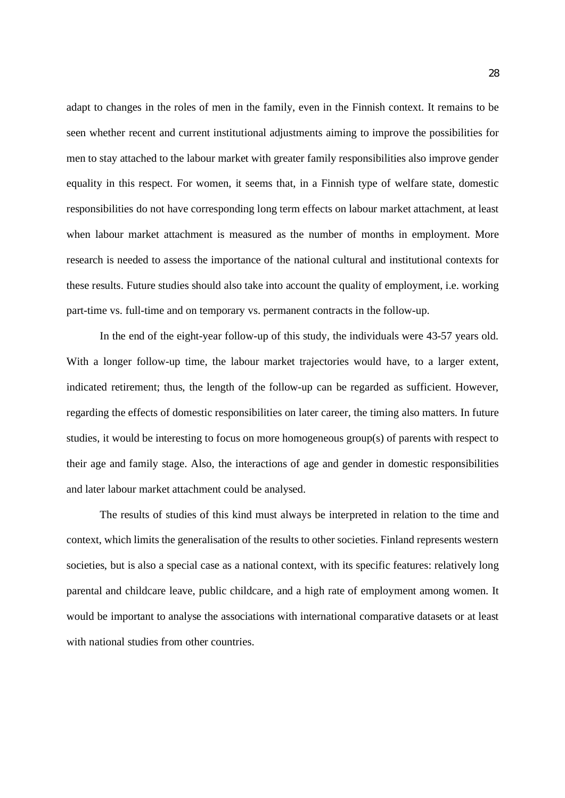adapt to changes in the roles of men in the family, even in the Finnish context. It remains to be seen whether recent and current institutional adjustments aiming to improve the possibilities for men to stay attached to the labour market with greater family responsibilities also improve gender equality in this respect. For women, it seems that, in a Finnish type of welfare state, domestic responsibilities do not have corresponding long term effects on labour market attachment, at least when labour market attachment is measured as the number of months in employment. More research is needed to assess the importance of the national cultural and institutional contexts for these results. Future studies should also take into account the quality of employment, i.e. working part-time vs. full-time and on temporary vs. permanent contracts in the follow-up.

In the end of the eight-year follow-up of this study, the individuals were 43-57 years old. With a longer follow-up time, the labour market trajectories would have, to a larger extent, indicated retirement; thus, the length of the follow-up can be regarded as sufficient. However, regarding the effects of domestic responsibilities on later career, the timing also matters. In future studies, it would be interesting to focus on more homogeneous group(s) of parents with respect to their age and family stage. Also, the interactions of age and gender in domestic responsibilities and later labour market attachment could be analysed.

The results of studies of this kind must always be interpreted in relation to the time and context, which limits the generalisation of the results to other societies. Finland represents western societies, but is also a special case as a national context, with its specific features: relatively long parental and childcare leave, public childcare, and a high rate of employment among women. It would be important to analyse the associations with international comparative datasets or at least with national studies from other countries.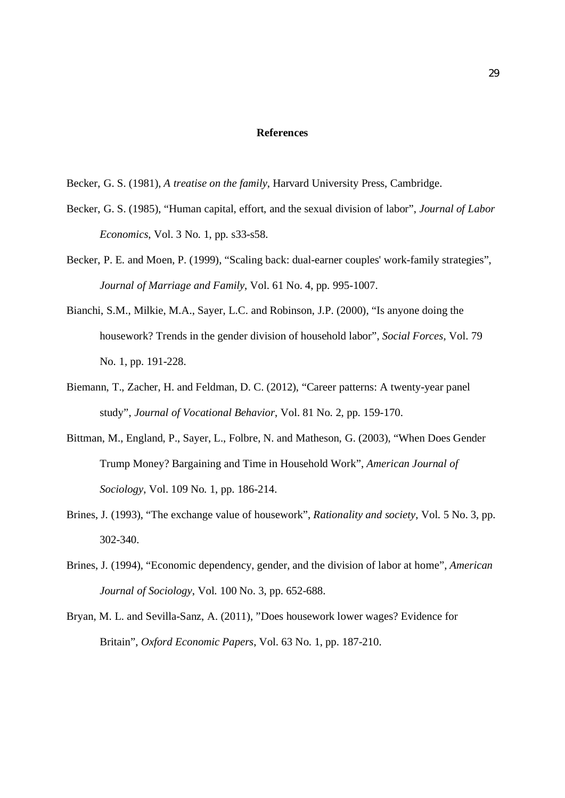#### **References**

Becker, G. S. (1981), *A treatise on the family*, Harvard University Press, Cambridge.

- Becker, G. S. (1985), "Human capital, effort, and the sexual division of labor", *Journal of Labor Economics*, Vol. 3 No. 1, pp. s33-s58.
- Becker, P. E. and Moen, P. (1999), "Scaling back: dual-earner couples' work-family strategies", *Journal of Marriage and Family*, Vol. 61 No. 4, pp. 995-1007.
- Bianchi, S.M., Milkie, M.A., Sayer, L.C. and Robinson, J.P. (2000), "Is anyone doing the housework? Trends in the gender division of household labor", *Social Forces,* Vol. 79 No. 1, pp. 191-228.
- Biemann, T., Zacher, H. and Feldman, D. C. (2012), "Career patterns: A twenty-year panel study", *Journal of Vocational Behavior*, Vol. 81 No. 2, pp. 159-170.
- Bittman, M., England, P., Sayer, L., Folbre, N. and Matheson, G. (2003), "When Does Gender Trump Money? Bargaining and Time in Household Work", *American Journal of Sociology*, Vol. 109 No. 1, pp. 186-214.
- Brines, J. (1993), "The exchange value of housework", *Rationality and society*, Vol. 5 No. 3, pp. 302-340.
- Brines, J. (1994), "Economic dependency, gender, and the division of labor at home", *American Journal of Sociology*, Vol. 100 No. 3, pp. 652-688.
- Bryan, M. L. and Sevilla-Sanz, A. (2011), "Does housework lower wages? Evidence for Britain", *Oxford Economic Papers*, Vol. 63 No. 1, pp. 187-210.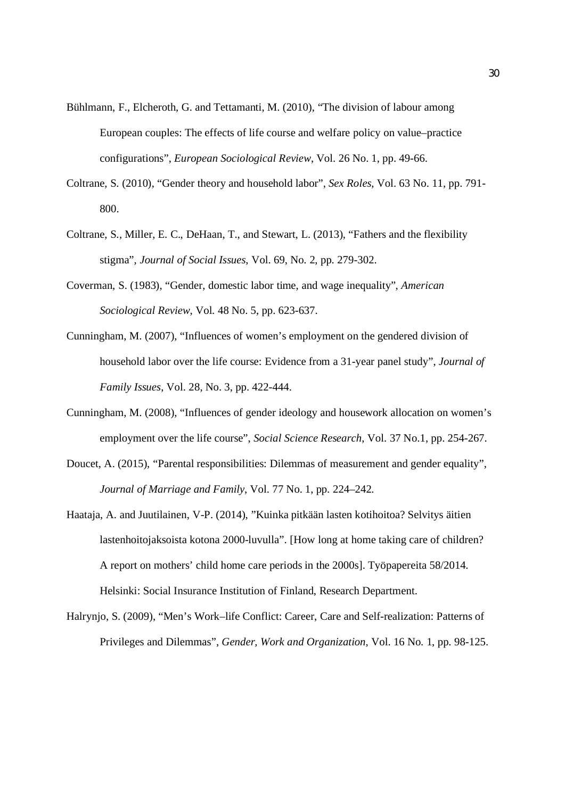- Bühlmann, F., Elcheroth, G. and Tettamanti, M. (2010), "The division of labour among European couples: The effects of life course and welfare policy on value–practice configurations", *European Sociological Review*, Vol. 26 No. 1, pp. 49-66.
- Coltrane, S. (2010), "Gender theory and household labor", *Sex Roles*, Vol. 63 No. 11, pp. 791- 800.
- Coltrane, S., Miller, E. C., DeHaan, T., and Stewart, L. (2013), "Fathers and the flexibility stigma", *Journal of Social Issues*, Vol. 69, No. 2, pp. 279-302.
- Coverman, S. (1983), "Gender, domestic labor time, and wage inequality", *American Sociological Review*, Vol. 48 No. 5, pp. 623-637.
- Cunningham, M. (2007), "Influences of women's employment on the gendered division of household labor over the life course: Evidence from a 31-year panel study", *Journal of Family Issues*, Vol. 28, No. 3, pp. 422-444.
- Cunningham, M. (2008), "Influences of gender ideology and housework allocation on women's employment over the life course", *Social Science Research*, Vol. 37 No.1, pp. 254-267.
- Doucet, A. (2015), "Parental responsibilities: Dilemmas of measurement and gender equality", *Journal of Marriage and Family*, Vol. 77 No. 1, pp. 224–242.
- Haataja, A. and Juutilainen, V-P. (2014), "Kuinka pitkään lasten kotihoitoa? Selvitys äitien lastenhoitojaksoista kotona 2000-luvulla". [How long at home taking care of children? A report on mothers' child home care periods in the 2000s]. Työpapereita 58/2014. Helsinki: Social Insurance Institution of Finland, Research Department.
- Halrynjo, S. (2009), "Men's Work–life Conflict: Career, Care and Self-realization: Patterns of Privileges and Dilemmas", *Gender, Work and Organization*, Vol. 16 No. 1, pp. 98-125.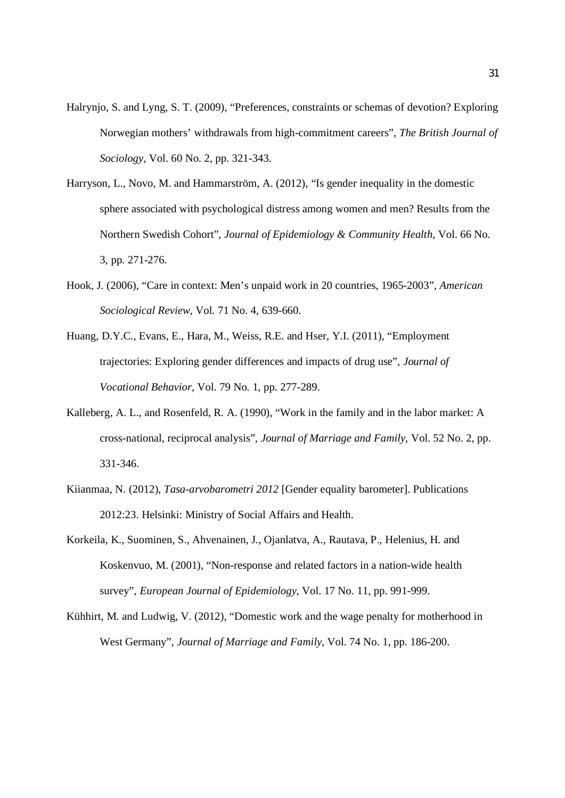- Halrynjo, S. and Lyng, S. T. (2009), "Preferences, constraints or schemas of devotion? Exploring Norwegian mothers' withdrawals from high-commitment careers", *The British Journal of Sociology*, Vol. 60 No. 2, pp. 321-343.
- Harryson, L., Novo, M. and Hammarström, A. (2012), "Is gender inequality in the domestic sphere associated with psychological distress among women and men? Results from the Northern Swedish Cohort", *Journal of Epidemiology & Community Health*, Vol. 66 No. 3, pp. 271-276.
- Hook, J. (2006), "Care in context: Men's unpaid work in 20 countries, 1965-2003", *American Sociological Review*, Vol. 71 No. 4, 639-660.
- Huang, D.Y.C., Evans, E., Hara, M., Weiss, R.E. and Hser, Y.I. (2011), "Employment trajectories: Exploring gender differences and impacts of drug use", *Journal of Vocational Behavior,* Vol. 79 No. 1, pp. 277-289.
- Kalleberg, A. L., and Rosenfeld, R. A. (1990), "Work in the family and in the labor market: A cross-national, reciprocal analysis", *Journal of Marriage and Family*, Vol. 52 No. 2, pp. 331-346.
- Kiianmaa, N. (2012), *Tasa-arvobarometri 2012* [Gender equality barometer]. Publications 2012:23. Helsinki: Ministry of Social Affairs and Health.
- Korkeila, K., Suominen, S., Ahvenainen, J., Ojanlatva, A., Rautava, P., Helenius, H. and Koskenvuo, M. (2001), "Non-response and related factors in a nation-wide health survey", *European Journal of Epidemiology*, Vol. 17 No. 11, pp. 991-999.
- Kühhirt, M. and Ludwig, V. (2012), "Domestic work and the wage penalty for motherhood in West Germany", *Journal of Marriage and Family*, Vol. 74 No. 1, pp. 186-200.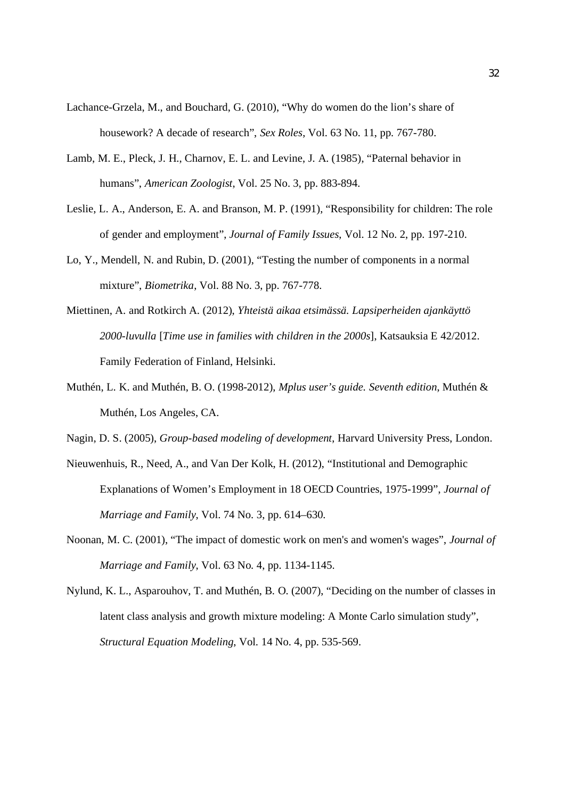- Lachance-Grzela, M., and Bouchard, G. (2010), "Why do women do the lion's share of housework? A decade of research", *Sex Roles*, Vol. 63 No. 11, pp. 767-780.
- Lamb, M. E., Pleck, J. H., Charnov, E. L. and Levine, J. A. (1985), "Paternal behavior in humans", *American Zoologist*, Vol. 25 No. 3, pp. 883-894.
- Leslie, L. A., Anderson, E. A. and Branson, M. P. (1991), "Responsibility for children: The role of gender and employment", *Journal of Family Issues*, Vol. 12 No. 2, pp. 197-210.
- Lo, Y., Mendell, N. and Rubin, D. (2001), "Testing the number of components in a normal mixture", *Biometrika*, Vol. 88 No. 3, pp. 767-778.
- Miettinen, A. and Rotkirch A. (2012), *Yhteistä aikaa etsimässä. Lapsiperheiden ajankäyttö 2000-luvulla* [*Time use in families with children in the 2000s*], Katsauksia E 42/2012. Family Federation of Finland, Helsinki.
- Muthén, L. K. and Muthén, B. O. (1998-2012), *Mplus user's guide. Seventh edition*, Muthén & Muthén, Los Angeles, CA.

Nagin, D. S. (2005), *Group-based modeling of development*, Harvard University Press, London.

- Nieuwenhuis, R., Need, A., and Van Der Kolk, H. (2012), "Institutional and Demographic Explanations of Women's Employment in 18 OECD Countries, 1975-1999", *Journal of Marriage and Family*, Vol. 74 No. 3, pp. 614–630.
- Noonan, M. C. (2001), "The impact of domestic work on men's and women's wages", *Journal of Marriage and Family*, Vol. 63 No. 4, pp. 1134-1145.
- Nylund, K. L., Asparouhov, T. and Muthén, B. O. (2007), "Deciding on the number of classes in latent class analysis and growth mixture modeling: A Monte Carlo simulation study", *Structural Equation Modeling*, Vol. 14 No. 4, pp. 535-569.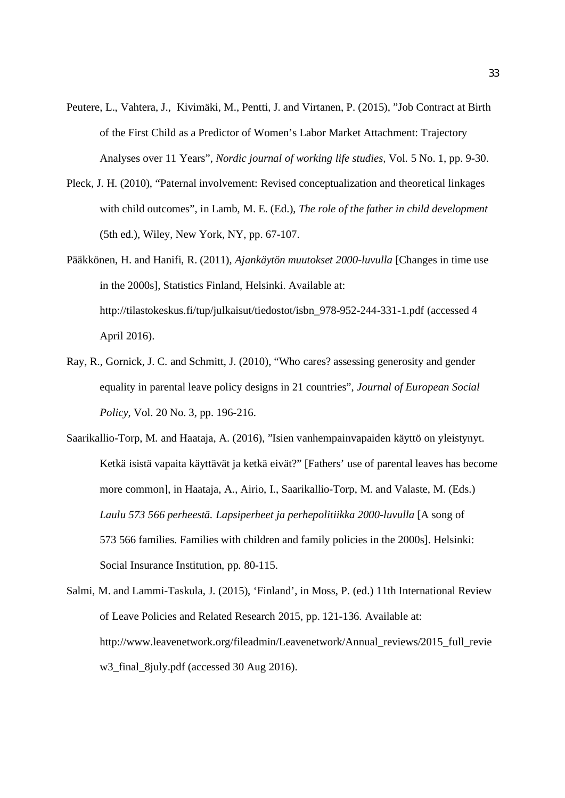- Peutere, L., Vahtera, J., Kivimäki, M., Pentti, J. and Virtanen, P. (2015), "Job Contract at Birth of the First Child as a Predictor of Women's Labor Market Attachment: Trajectory Analyses over 11 Years", *Nordic journal of working life studies,* Vol. 5 No. 1, pp. 9-30.
- Pleck, J. H. (2010), "Paternal involvement: Revised conceptualization and theoretical linkages with child outcomes", in Lamb, M. E. (Ed.), *The role of the father in child development* (5th ed.), Wiley, New York, NY, pp. 67-107.
- Pääkkönen, H. and Hanifi, R. (2011), *Ajankäytön muutokset 2000-luvulla* [Changes in time use in the 2000s], Statistics Finland, Helsinki. Available at: http://tilastokeskus.fi/tup/julkaisut/tiedostot/isbn 978-952-244-331-1.pdf (accessed 4 April 2016).
- Ray, R., Gornick, J. C. and Schmitt, J. (2010), "Who cares? assessing generosity and gender equality in parental leave policy designs in 21 countries", *Journal of European Social Policy*, Vol. 20 No. 3, pp. 196-216.
- Saarikallio-Torp, M. and Haataja, A. (2016), "Isien vanhempainvapaiden käyttö on yleistynyt. Ketkä isistä vapaita käyttävät ja ketkä eivät?" [Fathers' use of parental leaves has become more common], in Haataja, A., Airio, I., Saarikallio-Torp, M. and Valaste, M. (Eds.) *Laulu 573 566 perheestä. Lapsiperheet ja perhepolitiikka 2000-luvulla* [A song of 573 566 families. Families with children and family policies in the 2000s]. Helsinki: Social Insurance Institution, pp. 80-115.
- Salmi, M. and Lammi-Taskula, J. (2015), 'Finland', in Moss, P. (ed.) 11th International Review of Leave Policies and Related Research 2015, pp. 121-136. Available at: http://www.leavenetwork.org/fileadmin/Leavenetwork/Annual\_reviews/2015\_full\_revie w3\_final\_8july.pdf (accessed 30 Aug 2016).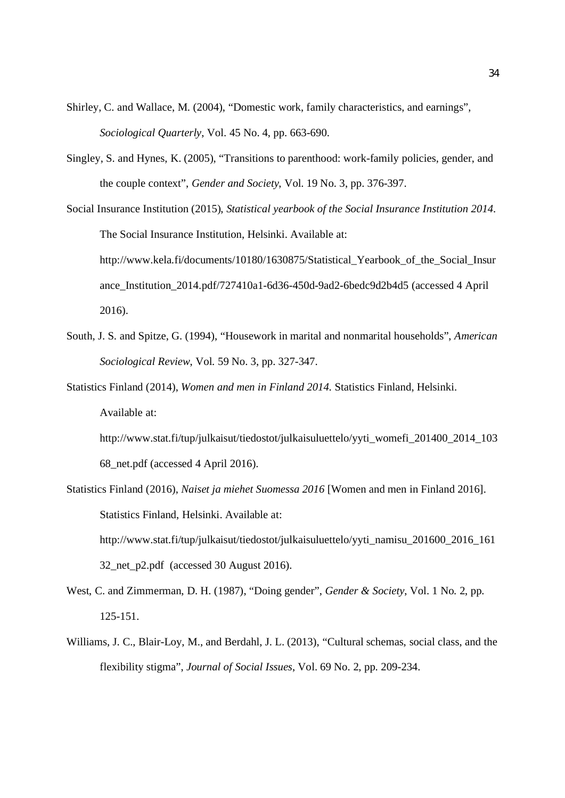- Shirley, C. and Wallace, M. (2004), "Domestic work, family characteristics, and earnings", *Sociological Quarterly*, Vol. 45 No. 4, pp. 663-690.
- Singley, S. and Hynes, K. (2005), "Transitions to parenthood: work-family policies, gender, and the couple context", *Gender and Society*, Vol. 19 No. 3, pp. 376-397.
- Social Insurance Institution (2015), *Statistical yearbook of the Social Insurance Institution 2014*. The Social Insurance Institution, Helsinki. Available at: http://www.kela.fi/documents/10180/1630875/Statistical\_Yearbook\_of\_the\_Social\_Insur ance\_Institution\_2014.pdf/727410a1-6d36-450d-9ad2-6bedc9d2b4d5 (accessed 4 April 2016).
- South, J. S. and Spitze, G. (1994), "Housework in marital and nonmarital households", *American Sociological Review*, Vol. 59 No. 3, pp. 327-347.
- Statistics Finland (2014), *Women and men in Finland 2014.* Statistics Finland, Helsinki. Available at:

http://www.stat.fi/tup/julkaisut/tiedostot/julkaisuluettelo/yyti\_womefi\_201400\_2014\_103 68\_net.pdf (accessed 4 April 2016).

- Statistics Finland (2016), *Naiset ja miehet Suomessa 2016* [Women and men in Finland 2016]. Statistics Finland, Helsinki. Available at: http://www.stat.fi/tup/julkaisut/tiedostot/julkaisuluettelo/yyti\_namisu\_201600\_2016\_161 32\_net\_p2.pdf (accessed 30 August 2016).
- West, C. and Zimmerman, D. H. (1987), "Doing gender", *Gender & Society*, Vol. 1 No. 2, pp. 125-151.
- Williams, J. C., Blair-Loy, M., and Berdahl, J. L. (2013), "Cultural schemas, social class, and the flexibility stigma", *Journal of Social Issues*, Vol. 69 No. 2, pp. 209-234.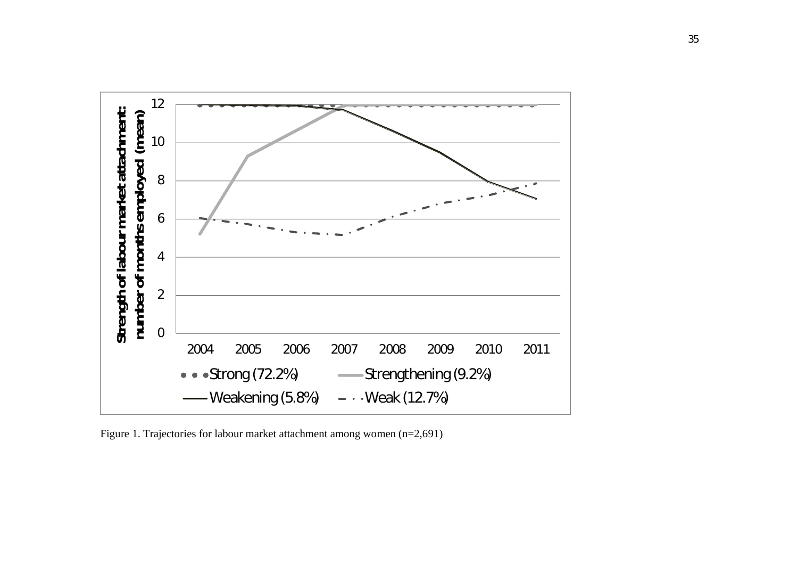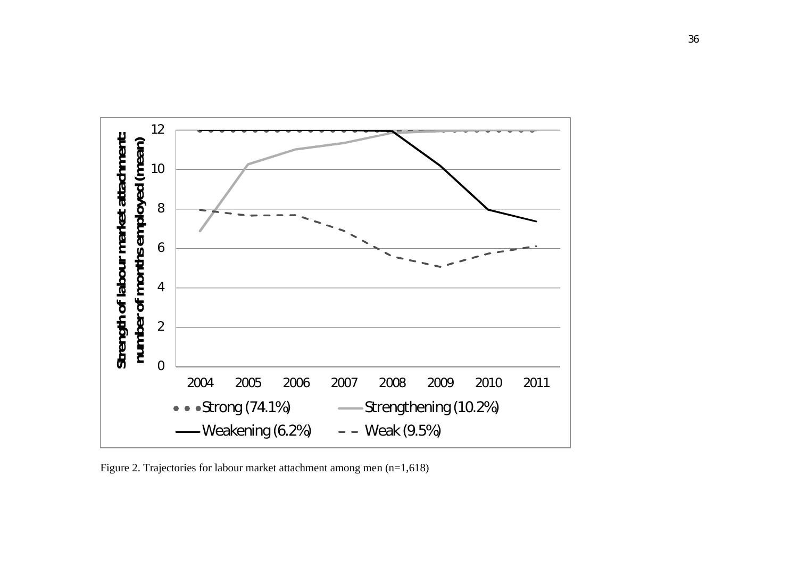

Figure 2. Trajectories for labour market attachment among men (n=1,618)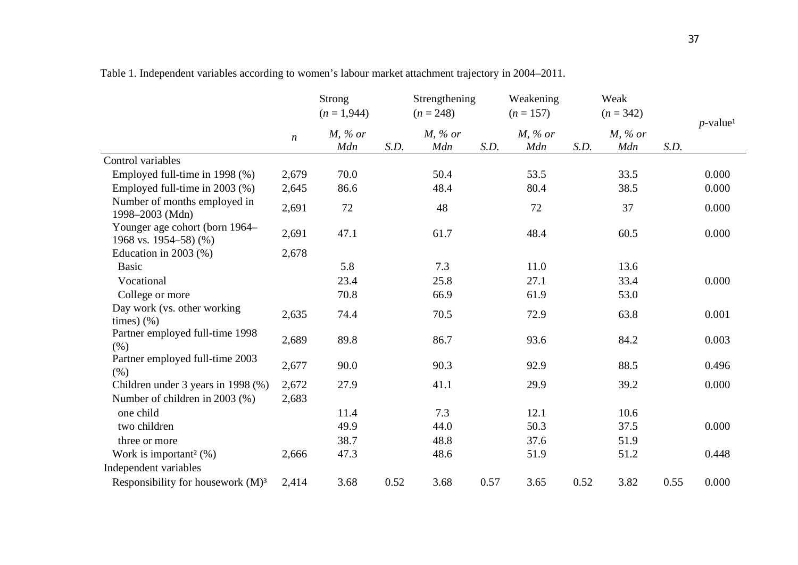|                                                            |                  | <b>Strong</b><br>$(n = 1,944)$ |      | Strengthening<br>$(n = 248)$ |      | Weakening<br>$(n = 157)$ |      | Weak<br>$(n = 342)$ |      | $p$ -value <sup>1</sup> |
|------------------------------------------------------------|------------------|--------------------------------|------|------------------------------|------|--------------------------|------|---------------------|------|-------------------------|
|                                                            | $\boldsymbol{n}$ | $M, %$ or<br>Mdn               | S.D. | $M, \%$ or<br>Mdn            | S.D. | $M, %$ or<br>Mdn         | S.D. | $M, %$ or<br>Mdn    | S.D. |                         |
| Control variables                                          |                  |                                |      |                              |      |                          |      |                     |      |                         |
| Employed full-time in 1998 (%)                             | 2,679            | 70.0                           |      | 50.4                         |      | 53.5                     |      | 33.5                |      | 0.000                   |
| Employed full-time in 2003 (%)                             | 2,645            | 86.6                           |      | 48.4                         |      | 80.4                     |      | 38.5                |      | 0.000                   |
| Number of months employed in<br>1998-2003 (Mdn)            | 2,691            | 72                             |      | 48                           |      | 72                       |      | 37                  |      | 0.000                   |
| Younger age cohort (born 1964–<br>1968 vs. 1954–58 $)$ (%) | 2,691            | 47.1                           |      | 61.7                         |      | 48.4                     |      | 60.5                |      | 0.000                   |
| Education in $2003$ (%)                                    | 2,678            |                                |      |                              |      |                          |      |                     |      |                         |
| <b>Basic</b>                                               |                  | 5.8                            |      | 7.3                          |      | 11.0                     |      | 13.6                |      |                         |
| Vocational                                                 |                  | 23.4                           |      | 25.8                         |      | 27.1                     |      | 33.4                |      | 0.000                   |
| College or more                                            |                  | 70.8                           |      | 66.9                         |      | 61.9                     |      | 53.0                |      |                         |
| Day work (vs. other working<br>$times)$ (%)                | 2,635            | 74.4                           |      | 70.5                         |      | 72.9                     |      | 63.8                |      | 0.001                   |
| Partner employed full-time 1998<br>(% )                    | 2,689            | 89.8                           |      | 86.7                         |      | 93.6                     |      | 84.2                |      | 0.003                   |
| Partner employed full-time 2003<br>(% )                    | 2,677            | 90.0                           |      | 90.3                         |      | 92.9                     |      | 88.5                |      | 0.496                   |
| Children under 3 years in 1998 (%)                         | 2,672            | 27.9                           |      | 41.1                         |      | 29.9                     |      | 39.2                |      | 0.000                   |
| Number of children in 2003 (%)                             | 2,683            |                                |      |                              |      |                          |      |                     |      |                         |
| one child                                                  |                  | 11.4                           |      | 7.3                          |      | 12.1                     |      | 10.6                |      |                         |
| two children                                               |                  | 49.9                           |      | 44.0                         |      | 50.3                     |      | 37.5                |      | 0.000                   |
| three or more                                              |                  | 38.7                           |      | 48.8                         |      | 37.6                     |      | 51.9                |      |                         |
| Work is important <sup>2</sup> $(\%)$                      | 2,666            | 47.3                           |      | 48.6                         |      | 51.9                     |      | 51.2                |      | 0.448                   |
| Independent variables                                      |                  |                                |      |                              |      |                          |      |                     |      |                         |
| Responsibility for housework $(M)^3$                       | 2,414            | 3.68                           | 0.52 | 3.68                         | 0.57 | 3.65                     | 0.52 | 3.82                | 0.55 | 0.000                   |

Table 1. Independent variables according to women's labour market attachment trajectory in 2004–2011.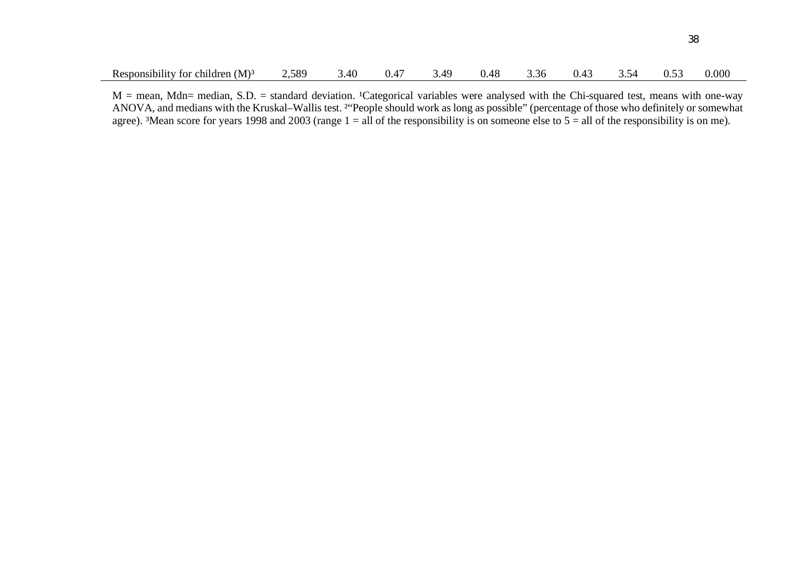| Responsibility for children $(M)^3$ | 2,589 | 0.47 | 3.49 | 0.48 | 3.36 | 0.43 | 3.54 | 0.53 | 0.000 |
|-------------------------------------|-------|------|------|------|------|------|------|------|-------|

 $M =$  mean, Mdn= median, S.D. = standard deviation. <sup>1</sup>Categorical variables were analysed with the Chi-squared test, means with one-way ANOVA, and medians with the Kruskal–Wallis test. <sup>2</sup> People should work as long as possible" (percentage of those who definitely or somewhat agree). <sup>3</sup>Mean score for years 1998 and 2003 (range 1 = all of the responsibility is on someone else to 5 = all of the responsibility is on me).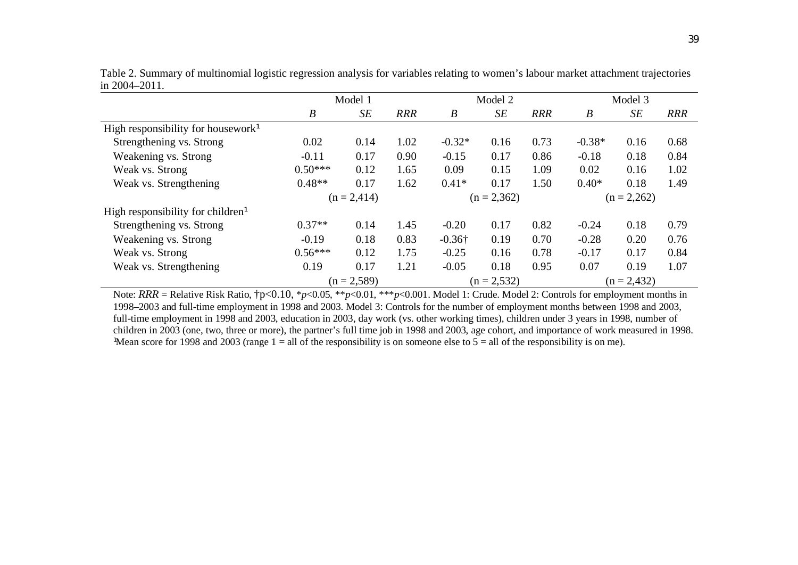|                                                | Model 1          |               |            |                  | Model 2       |            | Model 3          |               |            |
|------------------------------------------------|------------------|---------------|------------|------------------|---------------|------------|------------------|---------------|------------|
|                                                | $\boldsymbol{B}$ | SE            | <b>RRR</b> | $\boldsymbol{B}$ | SE            | <b>RRR</b> | $\boldsymbol{B}$ | SE            | <b>RRR</b> |
| High responsibility for housework <sup>1</sup> |                  |               |            |                  |               |            |                  |               |            |
| Strengthening vs. Strong                       | 0.02             | 0.14          | 1.02       | $-0.32*$         | 0.16          | 0.73       | $-0.38*$         | 0.16          | 0.68       |
| Weakening vs. Strong                           | $-0.11$          | 0.17          | 0.90       | $-0.15$          | 0.17          | 0.86       | $-0.18$          | 0.18          | 0.84       |
| Weak vs. Strong                                | $0.50***$        | 0.12          | 1.65       | 0.09             | 0.15          | 1.09       | 0.02             | 0.16          | 1.02       |
| Weak vs. Strengthening                         | $0.48**$         | 0.17          | 1.62       | $0.41*$          | 0.17          | 1.50       | $0.40*$          | 0.18          | 1.49       |
|                                                |                  | $(n = 2,414)$ |            |                  | $(n = 2,362)$ |            | $(n = 2,262)$    |               |            |
| High responsibility for children <sup>1</sup>  |                  |               |            |                  |               |            |                  |               |            |
| Strengthening vs. Strong                       | $0.37**$         | 0.14          | 1.45       | $-0.20$          | 0.17          | 0.82       | $-0.24$          | 0.18          | 0.79       |
| Weakening vs. Strong                           | $-0.19$          | 0.18          | 0.83       | $-0.36\dagger$   | 0.19          | 0.70       | $-0.28$          | 0.20          | 0.76       |
| Weak vs. Strong                                | $0.56***$        | 0.12          | 1.75       | $-0.25$          | 0.16          | 0.78       | $-0.17$          | 0.17          | 0.84       |
| Weak vs. Strengthening                         | 0.19             | 0.17          | 1.21       | $-0.05$          | 0.18          | 0.95       | 0.07             | 0.19          | 1.07       |
|                                                |                  | $(n = 2,589)$ |            |                  | $(n = 2,532)$ |            |                  | $(n = 2,432)$ |            |

Table 2. Summary of multinomial logistic regression analysis for variables relating to women's labour market attachment trajectories in 2004–2011.

Note: *RRR* = Relative Risk Ratio,  $\uparrow p < 0.10$ ,  $\uparrow p < 0.05$ ,  $\uparrow \uparrow p < 0.01$ ,  $\uparrow \uparrow \uparrow p < 0.001$ . Model 1: Crude. Model 2: Controls for employment months in 1998–2003 and full-time employment in 1998 and 2003. Model 3: Controls for the number of employment months between 1998 and 2003, full-time employment in 1998 and 2003, education in 2003, day work (vs. other working times), children under 3 years in 1998, number of children in 2003 (one, two, three or more), the partner's full time job in 1998 and 2003, age cohort, and importance of work measured in 1998. <sup>1</sup>Mean score for 1998 and 2003 (range 1 = all of the responsibility is on someone else to  $5 =$  all of the responsibility is on me).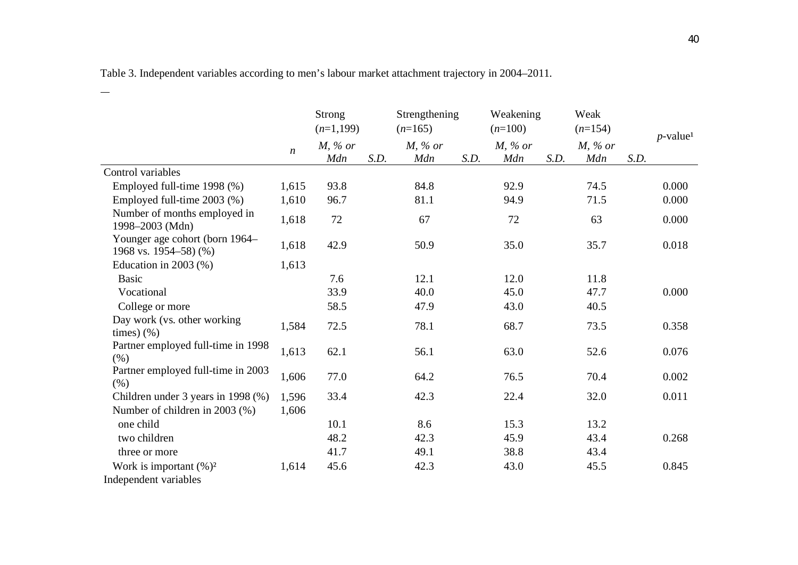|                                                            |                  | <b>Strong</b><br>$(n=1,199)$ |      | Strengthening<br>$(n=165)$ | Weakening<br>$(n=100)$ |                  | Weak<br>$(n=154)$ |                  | $p$ -value <sup>1</sup> |       |
|------------------------------------------------------------|------------------|------------------------------|------|----------------------------|------------------------|------------------|-------------------|------------------|-------------------------|-------|
|                                                            | $\boldsymbol{n}$ | $M, \%$ or<br>Mdn            | S.D. | $M, \%$ or<br>Mdn          | S.D.                   | $M, %$ or<br>Mdn | S.D.              | $M, %$ or<br>Mdn | S.D.                    |       |
| Control variables                                          |                  |                              |      |                            |                        |                  |                   |                  |                         |       |
| Employed full-time 1998 (%)                                | 1,615            | 93.8                         |      | 84.8                       |                        | 92.9             |                   | 74.5             |                         | 0.000 |
| Employed full-time 2003 (%)                                | 1,610            | 96.7                         |      | 81.1                       |                        | 94.9             |                   | 71.5             |                         | 0.000 |
| Number of months employed in<br>1998-2003 (Mdn)            | 1,618            | 72                           |      | 67                         |                        | 72               |                   | 63               |                         | 0.000 |
| Younger age cohort (born 1964–<br>1968 vs. 1954–58 $)$ (%) | 1,618            | 42.9                         |      | 50.9                       |                        | 35.0             |                   | 35.7             |                         | 0.018 |
| Education in $2003$ (%)                                    | 1,613            |                              |      |                            |                        |                  |                   |                  |                         |       |
| Basic                                                      |                  | 7.6                          |      | 12.1                       |                        | 12.0             |                   | 11.8             |                         |       |
| Vocational                                                 |                  | 33.9                         |      | 40.0                       |                        | 45.0             |                   | 47.7             |                         | 0.000 |
| College or more                                            |                  | 58.5                         |      | 47.9                       |                        | 43.0             |                   | 40.5             |                         |       |
| Day work (vs. other working<br>$times)$ (%)                | 1,584            | 72.5                         |      | 78.1                       |                        | 68.7             |                   | 73.5             |                         | 0.358 |
| Partner employed full-time in 1998<br>(% )                 | 1,613            | 62.1                         |      | 56.1                       |                        | 63.0             |                   | 52.6             |                         | 0.076 |
| Partner employed full-time in 2003<br>(% )                 | 1,606            | 77.0                         |      | 64.2                       |                        | 76.5             |                   | 70.4             |                         | 0.002 |
| Children under 3 years in 1998 (%)                         | 1,596            | 33.4                         |      | 42.3                       |                        | 22.4             |                   | 32.0             |                         | 0.011 |
| Number of children in 2003 (%)                             | 1,606            |                              |      |                            |                        |                  |                   |                  |                         |       |
| one child                                                  |                  | 10.1                         |      | 8.6                        |                        | 15.3             |                   | 13.2             |                         |       |
| two children                                               |                  | 48.2                         |      | 42.3                       |                        | 45.9             |                   | 43.4             |                         | 0.268 |
| three or more                                              |                  | 41.7                         |      | 49.1                       |                        | 38.8             |                   | 43.4             |                         |       |
| Work is important $(\%)^2$                                 | 1,614            | 45.6                         |      | 42.3                       |                        | 43.0             |                   | 45.5             |                         | 0.845 |
| Independent variables                                      |                  |                              |      |                            |                        |                  |                   |                  |                         |       |

Table 3. Independent variables according to men's labour market attachment trajectory in 2004–2011.

 $\overline{\phantom{m}}$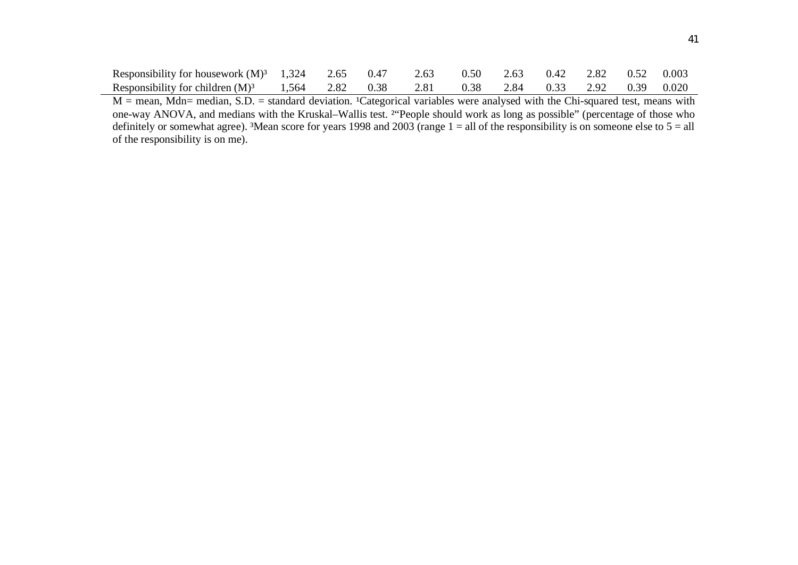| Responsibility for housework (M) <sup>3</sup> 1,324 2.65 0.47 2.63 0.50 2.63 0.42 2.82 0.52 0.003 |  |  |  |  |  |
|---------------------------------------------------------------------------------------------------|--|--|--|--|--|
| Responsibility for children (M) <sup>3</sup> 1,564 2.82 0.38 2.81 0.38 2.84 0.33 2.92 0.39 0.020  |  |  |  |  |  |

M = mean, Mdn= median, S.D. = standard deviation. <sup>1</sup>Categorical variables were analysed with the Chi-squared test, means with one-way ANOVA, and medians with the Kruskal–Wallis test. <sup>2"</sup>People should work as long as possible" (percentage of those who definitely or somewhat agree). <sup>3</sup>Mean score for years 1998 and 2003 (range  $1 =$  all of the responsibility is on someone else to  $5 =$  all of the responsibility is on me).